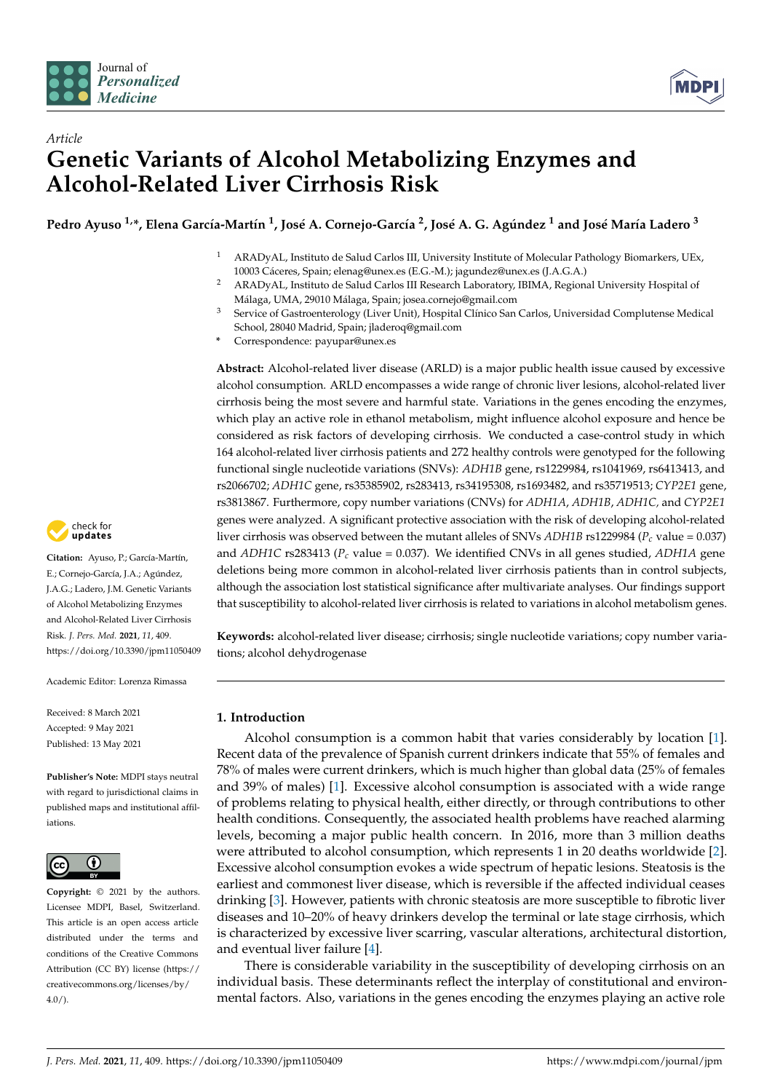



# *Article* **Genetic Variants of Alcohol Metabolizing Enzymes and Alcohol-Related Liver Cirrhosis Risk**

Pedro Ayuso <sup>1,</sup>\*, Elena García-Martín <sup>1</sup>, José A. Cornejo-García <sup>2</sup>, José A. G. Agúndez <sup>1</sup> and José María Ladero <sup>3</sup>

- <sup>1</sup> ARADyAL, Instituto de Salud Carlos III, University Institute of Molecular Pathology Biomarkers, UEx, 10003 Cáceres, Spain; elenag@unex.es (E.G.-M.); jagundez@unex.es (J.A.G.A.)
- <sup>2</sup> ARADyAL, Instituto de Salud Carlos III Research Laboratory, IBIMA, Regional University Hospital of Málaga, UMA, 29010 Málaga, Spain; josea.cornejo@gmail.com
- <sup>3</sup> Service of Gastroenterology (Liver Unit), Hospital Clínico San Carlos, Universidad Complutense Medical School, 28040 Madrid, Spain; jladeroq@gmail.com
- **\*** Correspondence: payupar@unex.es

**Abstract:** Alcohol-related liver disease (ARLD) is a major public health issue caused by excessive alcohol consumption. ARLD encompasses a wide range of chronic liver lesions, alcohol-related liver cirrhosis being the most severe and harmful state. Variations in the genes encoding the enzymes, which play an active role in ethanol metabolism, might influence alcohol exposure and hence be considered as risk factors of developing cirrhosis. We conducted a case-control study in which 164 alcohol-related liver cirrhosis patients and 272 healthy controls were genotyped for the following functional single nucleotide variations (SNVs): *ADH1B* gene, rs1229984, rs1041969, rs6413413, and rs2066702; *ADH1C* gene, rs35385902, rs283413, rs34195308, rs1693482, and rs35719513; *CYP2E1* gene, rs3813867. Furthermore, copy number variations (CNVs) for *ADH1A*, *ADH1B*, *ADH1C,* and *CYP2E1* genes were analyzed. A significant protective association with the risk of developing alcohol-related liver cirrhosis was observed between the mutant alleles of SNVs *ADH1B* rs1229984 (*Pc* value = 0.037) and *ADH1C* rs283413 (*Pc* value = 0.037). We identified CNVs in all genes studied, *ADH1A* gene deletions being more common in alcohol-related liver cirrhosis patients than in control subjects, although the association lost statistical significance after multivariate analyses. Our findings support that susceptibility to alcohol-related liver cirrhosis is related to variations in alcohol metabolism genes.

**Keywords:** alcohol-related liver disease; cirrhosis; single nucleotide variations; copy number variations; alcohol dehydrogenase

## **1. Introduction**

Alcohol consumption is a common habit that varies considerably by location [\[1\]](#page-11-0). Recent data of the prevalence of Spanish current drinkers indicate that 55% of females and 78% of males were current drinkers, which is much higher than global data (25% of females and 39% of males) [\[1\]](#page-11-0). Excessive alcohol consumption is associated with a wide range of problems relating to physical health, either directly, or through contributions to other health conditions. Consequently, the associated health problems have reached alarming levels, becoming a major public health concern. In 2016, more than 3 million deaths were attributed to alcohol consumption, which represents 1 in 20 deaths worldwide [\[2\]](#page-11-1). Excessive alcohol consumption evokes a wide spectrum of hepatic lesions. Steatosis is the earliest and commonest liver disease, which is reversible if the affected individual ceases drinking [\[3\]](#page-11-2). However, patients with chronic steatosis are more susceptible to fibrotic liver diseases and 10–20% of heavy drinkers develop the terminal or late stage cirrhosis, which is characterized by excessive liver scarring, vascular alterations, architectural distortion, and eventual liver failure [\[4\]](#page-11-3).

There is considerable variability in the susceptibility of developing cirrhosis on an individual basis. These determinants reflect the interplay of constitutional and environmental factors. Also, variations in the genes encoding the enzymes playing an active role



**Citation:** Ayuso, P.; García-Martín, E.; Cornejo-García, J.A.; Agúndez, J.A.G.; Ladero, J.M. Genetic Variants of Alcohol Metabolizing Enzymes and Alcohol-Related Liver Cirrhosis Risk. *J. Pers. Med.* **2021**, *11*, 409. <https://doi.org/10.3390/jpm11050409>

Academic Editor: Lorenza Rimassa

Received: 8 March 2021 Accepted: 9 May 2021 Published: 13 May 2021

**Publisher's Note:** MDPI stays neutral with regard to jurisdictional claims in published maps and institutional affiliations.



**Copyright:** © 2021 by the authors. Licensee MDPI, Basel, Switzerland. This article is an open access article distributed under the terms and conditions of the Creative Commons Attribution (CC BY) license (https:/[/](https://creativecommons.org/licenses/by/4.0/) [creativecommons.org/licenses/by/](https://creativecommons.org/licenses/by/4.0/)  $4.0/$ ).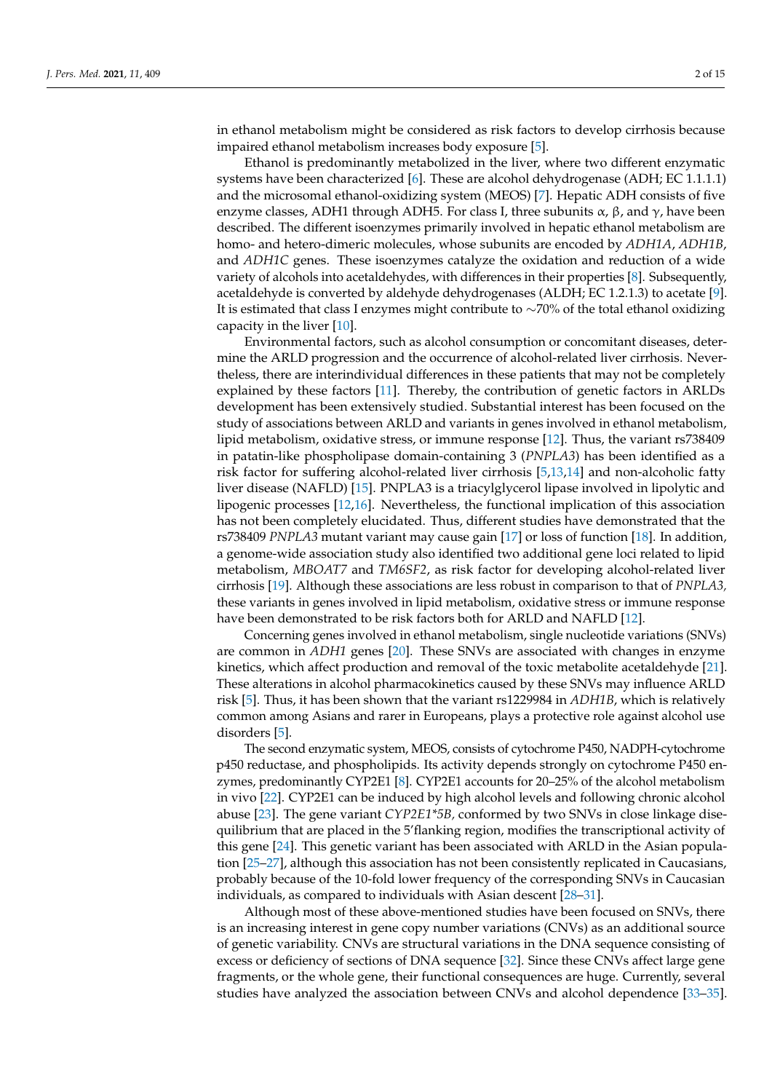in ethanol metabolism might be considered as risk factors to develop cirrhosis because impaired ethanol metabolism increases body exposure [\[5\]](#page-11-4).

Ethanol is predominantly metabolized in the liver, where two different enzymatic systems have been characterized [\[6\]](#page-11-5). These are alcohol dehydrogenase (ADH; EC 1.1.1.1) and the microsomal ethanol-oxidizing system (MEOS) [\[7\]](#page-11-6). Hepatic ADH consists of five enzyme classes, ADH1 through ADH5. For class I, three subunits  $\alpha$ ,  $\beta$ , and  $\gamma$ , have been described. The different isoenzymes primarily involved in hepatic ethanol metabolism are homo- and hetero-dimeric molecules, whose subunits are encoded by *ADH1A*, *ADH1B*, and *ADH1C* genes. These isoenzymes catalyze the oxidation and reduction of a wide variety of alcohols into acetaldehydes, with differences in their properties [\[8\]](#page-11-7). Subsequently, acetaldehyde is converted by aldehyde dehydrogenases (ALDH; EC 1.2.1.3) to acetate [\[9\]](#page-11-8). It is estimated that class I enzymes might contribute to ∼70% of the total ethanol oxidizing capacity in the liver [\[10\]](#page-11-9).

Environmental factors, such as alcohol consumption or concomitant diseases, determine the ARLD progression and the occurrence of alcohol-related liver cirrhosis. Nevertheless, there are interindividual differences in these patients that may not be completely explained by these factors [\[11\]](#page-11-10). Thereby, the contribution of genetic factors in ARLDs development has been extensively studied. Substantial interest has been focused on the study of associations between ARLD and variants in genes involved in ethanol metabolism, lipid metabolism, oxidative stress, or immune response [\[12\]](#page-11-11). Thus, the variant rs738409 in patatin-like phospholipase domain-containing 3 (*PNPLA3*) has been identified as a risk factor for suffering alcohol-related liver cirrhosis [\[5,](#page-11-4)[13,](#page-12-0)[14\]](#page-12-1) and non-alcoholic fatty liver disease (NAFLD) [\[15\]](#page-12-2). PNPLA3 is a triacylglycerol lipase involved in lipolytic and lipogenic processes [\[12](#page-11-11)[,16\]](#page-12-3). Nevertheless, the functional implication of this association has not been completely elucidated. Thus, different studies have demonstrated that the rs738409 *PNPLA3* mutant variant may cause gain [\[17\]](#page-12-4) or loss of function [\[18\]](#page-12-5). In addition, a genome-wide association study also identified two additional gene loci related to lipid metabolism, *MBOAT7* and *TM6SF2*, as risk factor for developing alcohol-related liver cirrhosis [\[19\]](#page-12-6). Although these associations are less robust in comparison to that of *PNPLA3,* these variants in genes involved in lipid metabolism, oxidative stress or immune response have been demonstrated to be risk factors both for ARLD and NAFLD [\[12\]](#page-11-11).

Concerning genes involved in ethanol metabolism, single nucleotide variations (SNVs) are common in *ADH1* genes [\[20\]](#page-12-7). These SNVs are associated with changes in enzyme kinetics, which affect production and removal of the toxic metabolite acetaldehyde [\[21\]](#page-12-8). These alterations in alcohol pharmacokinetics caused by these SNVs may influence ARLD risk [\[5\]](#page-11-4). Thus, it has been shown that the variant rs1229984 in *ADH1B*, which is relatively common among Asians and rarer in Europeans, plays a protective role against alcohol use disorders [\[5\]](#page-11-4).

The second enzymatic system, MEOS, consists of cytochrome P450, NADPH-cytochrome p450 reductase, and phospholipids. Its activity depends strongly on cytochrome P450 enzymes, predominantly CYP2E1 [\[8\]](#page-11-7). CYP2E1 accounts for 20–25% of the alcohol metabolism in vivo [\[22\]](#page-12-9). CYP2E1 can be induced by high alcohol levels and following chronic alcohol abuse [\[23\]](#page-12-10). The gene variant *CYP2E1\*5B,* conformed by two SNVs in close linkage disequilibrium that are placed in the 5'flanking region, modifies the transcriptional activity of this gene [\[24\]](#page-12-11). This genetic variant has been associated with ARLD in the Asian population [\[25–](#page-12-12)[27\]](#page-12-13), although this association has not been consistently replicated in Caucasians, probably because of the 10-fold lower frequency of the corresponding SNVs in Caucasian individuals, as compared to individuals with Asian descent [\[28](#page-12-14)[–31\]](#page-12-15).

Although most of these above-mentioned studies have been focused on SNVs, there is an increasing interest in gene copy number variations (CNVs) as an additional source of genetic variability. CNVs are structural variations in the DNA sequence consisting of excess or deficiency of sections of DNA sequence [\[32\]](#page-12-16). Since these CNVs affect large gene fragments, or the whole gene, their functional consequences are huge. Currently, several studies have analyzed the association between CNVs and alcohol dependence [\[33](#page-12-17)[–35\]](#page-12-18).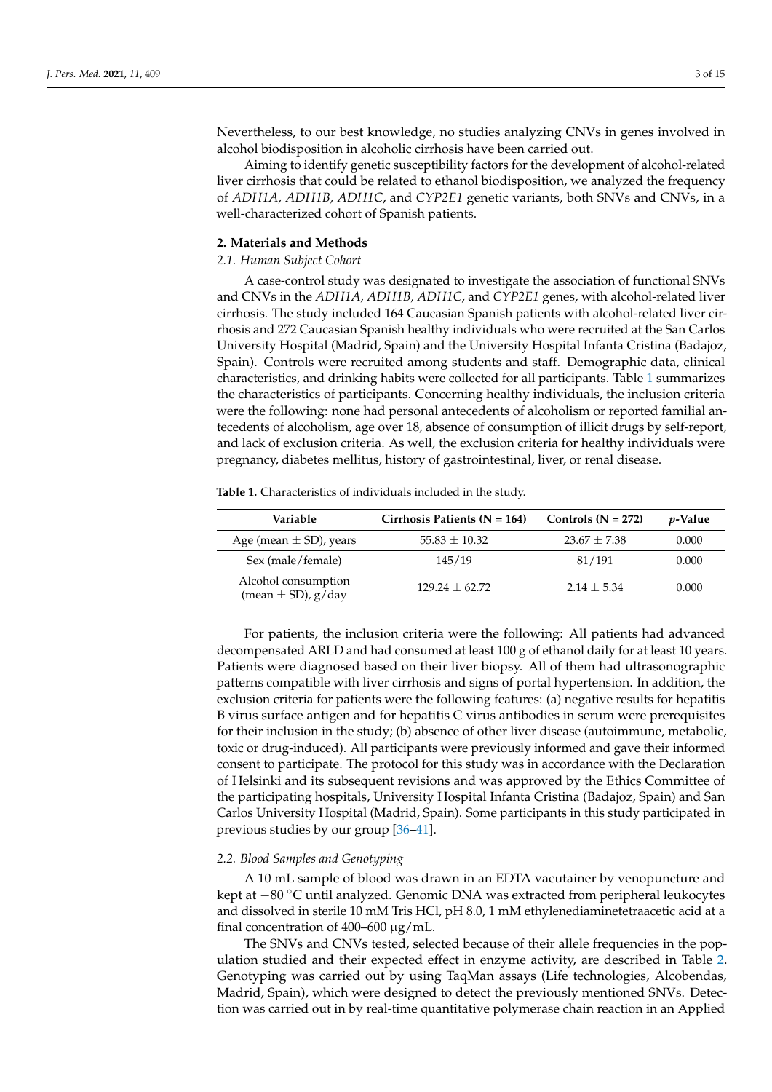Nevertheless, to our best knowledge, no studies analyzing CNVs in genes involved in alcohol biodisposition in alcoholic cirrhosis have been carried out.

Aiming to identify genetic susceptibility factors for the development of alcohol-related liver cirrhosis that could be related to ethanol biodisposition, we analyzed the frequency of *ADH1A, ADH1B, ADH1C*, and *CYP2E1* genetic variants, both SNVs and CNVs, in a well-characterized cohort of Spanish patients.

#### **2. Materials and Methods**

#### *2.1. Human Subject Cohort*

A case-control study was designated to investigate the association of functional SNVs and CNVs in the *ADH1A, ADH1B, ADH1C*, and *CYP2E1* genes, with alcohol-related liver cirrhosis. The study included 164 Caucasian Spanish patients with alcohol-related liver cirrhosis and 272 Caucasian Spanish healthy individuals who were recruited at the San Carlos University Hospital (Madrid, Spain) and the University Hospital Infanta Cristina (Badajoz, Spain). Controls were recruited among students and staff. Demographic data, clinical characteristics, and drinking habits were collected for all participants. Table [1](#page-2-0) summarizes the characteristics of participants. Concerning healthy individuals, the inclusion criteria were the following: none had personal antecedents of alcoholism or reported familial antecedents of alcoholism, age over 18, absence of consumption of illicit drugs by self-report, and lack of exclusion criteria. As well, the exclusion criteria for healthy individuals were pregnancy, diabetes mellitus, history of gastrointestinal, liver, or renal disease.

<span id="page-2-0"></span>**Table 1.** Characteristics of individuals included in the study.

| Variable                                         | Cirrhosis Patients ( $N = 164$ ) | Controls $(N = 272)$ | <i>v</i> -Value |
|--------------------------------------------------|----------------------------------|----------------------|-----------------|
| Age (mean $\pm$ SD), years                       | $55.83 \pm 10.32$                | $23.67 + 7.38$       | 0.000           |
| Sex (male/female)                                | 145/19                           | 81/191               | 0.000           |
| Alcohol consumption<br>(mean $\pm$ SD), $g$ /day | $129.24 + 62.72$                 | $2.14 + 5.34$        | 0.000           |

For patients, the inclusion criteria were the following: All patients had advanced decompensated ARLD and had consumed at least 100 g of ethanol daily for at least 10 years. Patients were diagnosed based on their liver biopsy. All of them had ultrasonographic patterns compatible with liver cirrhosis and signs of portal hypertension. In addition, the exclusion criteria for patients were the following features: (a) negative results for hepatitis B virus surface antigen and for hepatitis C virus antibodies in serum were prerequisites for their inclusion in the study; (b) absence of other liver disease (autoimmune, metabolic, toxic or drug-induced). All participants were previously informed and gave their informed consent to participate. The protocol for this study was in accordance with the Declaration of Helsinki and its subsequent revisions and was approved by the Ethics Committee of the participating hospitals, University Hospital Infanta Cristina (Badajoz, Spain) and San Carlos University Hospital (Madrid, Spain). Some participants in this study participated in previous studies by our group [\[36](#page-12-19)[–41\]](#page-13-0).

## *2.2. Blood Samples and Genotyping*

A 10 mL sample of blood was drawn in an EDTA vacutainer by venopuncture and kept at −80 ◦C until analyzed. Genomic DNA was extracted from peripheral leukocytes and dissolved in sterile 10 mM Tris HCl, pH 8.0, 1 mM ethylenediaminetetraacetic acid at a final concentration of  $400-600 \mu g/mL$ .

The SNVs and CNVs tested, selected because of their allele frequencies in the population studied and their expected effect in enzyme activity, are described in Table [2.](#page-3-0) Genotyping was carried out by using TaqMan assays (Life technologies, Alcobendas, Madrid, Spain), which were designed to detect the previously mentioned SNVs. Detection was carried out in by real-time quantitative polymerase chain reaction in an Applied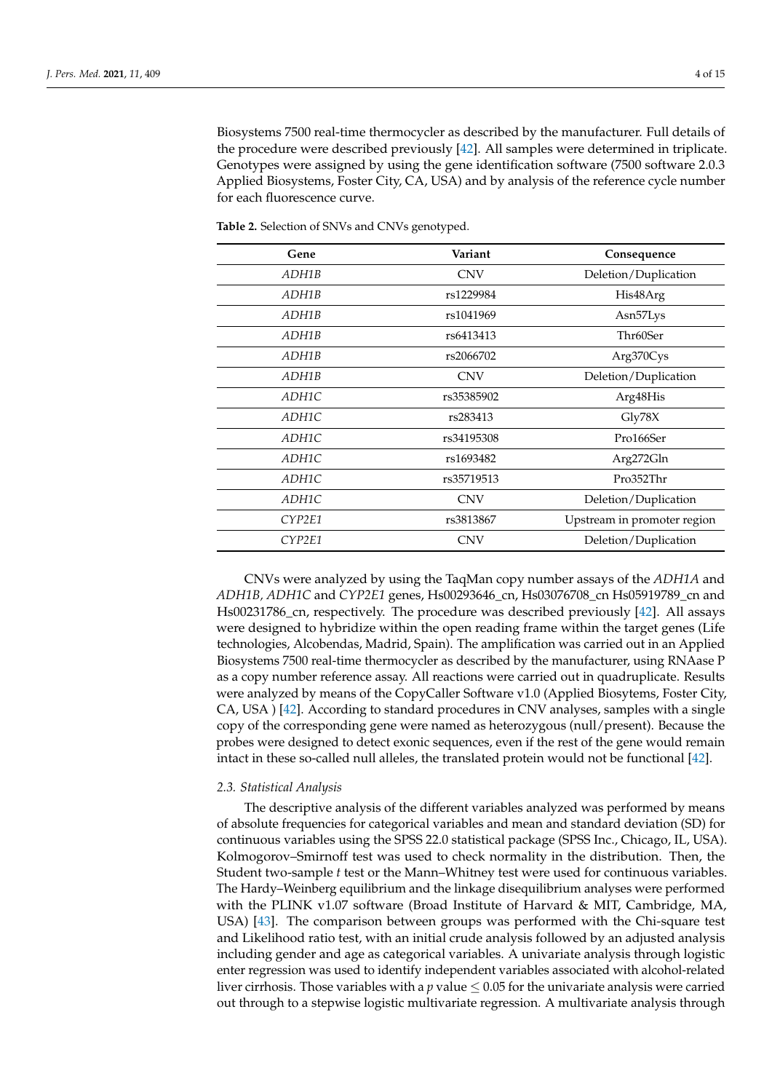Biosystems 7500 real-time thermocycler as described by the manufacturer. Full details of the procedure were described previously [\[42\]](#page-13-1). All samples were determined in triplicate. Genotypes were assigned by using the gene identification software (7500 software 2.0.3 Applied Biosystems, Foster City, CA, USA) and by analysis of the reference cycle number for each fluorescence curve.

| Gene   | Variant    | Consequence                 |  |
|--------|------------|-----------------------------|--|
| ADH1B  | <b>CNV</b> | Deletion/Duplication        |  |
| ADH1B  | rs1229984  | His48Arg                    |  |
| ADH1B  | rs1041969  | Asn <sub>57</sub> Lys       |  |
| ADH1B  | rs6413413  | Thr60Ser                    |  |
| ADH1B  | rs2066702  | Arg370Cys                   |  |
| ADH1B  | <b>CNV</b> | Deletion/Duplication        |  |
| ADH1C  | rs35385902 | Arg48His                    |  |
| ADH1C  | rs283413   | Gly78X                      |  |
| ADH1C  | rs34195308 | Pro166Ser                   |  |
| ADH1C  | rs1693482  | Arg272Gln                   |  |
| ADH1C  | rs35719513 | Pro352Thr                   |  |
| ADH1C  | <b>CNV</b> | Deletion/Duplication        |  |
| CYP2E1 | rs3813867  | Upstream in promoter region |  |
| CYP2E1 | <b>CNV</b> | Deletion/Duplication        |  |

<span id="page-3-0"></span>**Table 2.** Selection of SNVs and CNVs genotyped.

CNVs were analyzed by using the TaqMan copy number assays of the *ADH1A* and *ADH1B, ADH1C* and *CYP2E1* genes, Hs00293646\_cn, Hs03076708\_cn Hs05919789\_cn and Hs00231786\_cn, respectively. The procedure was described previously [\[42\]](#page-13-1). All assays were designed to hybridize within the open reading frame within the target genes (Life technologies, Alcobendas, Madrid, Spain). The amplification was carried out in an Applied Biosystems 7500 real-time thermocycler as described by the manufacturer, using RNAase P as a copy number reference assay. All reactions were carried out in quadruplicate. Results were analyzed by means of the CopyCaller Software v1.0 (Applied Biosytems, Foster City, CA, USA ) [\[42\]](#page-13-1). According to standard procedures in CNV analyses, samples with a single copy of the corresponding gene were named as heterozygous (null/present). Because the probes were designed to detect exonic sequences, even if the rest of the gene would remain intact in these so-called null alleles, the translated protein would not be functional [\[42\]](#page-13-1).

#### *2.3. Statistical Analysis*

The descriptive analysis of the different variables analyzed was performed by means of absolute frequencies for categorical variables and mean and standard deviation (SD) for continuous variables using the SPSS 22.0 statistical package (SPSS Inc., Chicago, IL, USA). Kolmogorov–Smirnoff test was used to check normality in the distribution. Then, the Student two-sample *t* test or the Mann–Whitney test were used for continuous variables. The Hardy–Weinberg equilibrium and the linkage disequilibrium analyses were performed with the PLINK v1.07 software (Broad Institute of Harvard & MIT, Cambridge, MA, USA) [\[43\]](#page-13-2). The comparison between groups was performed with the Chi-square test and Likelihood ratio test, with an initial crude analysis followed by an adjusted analysis including gender and age as categorical variables. A univariate analysis through logistic enter regression was used to identify independent variables associated with alcohol-related liver cirrhosis. Those variables with a  $p$  value  $\leq 0.05$  for the univariate analysis were carried out through to a stepwise logistic multivariate regression. A multivariate analysis through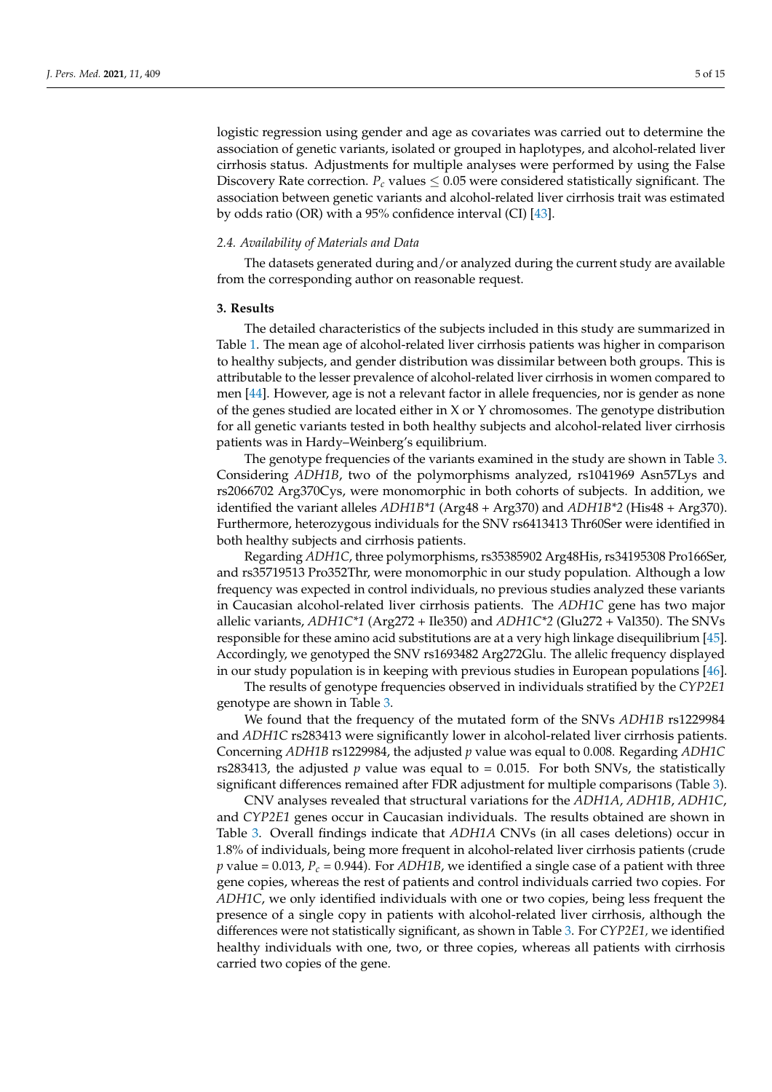logistic regression using gender and age as covariates was carried out to determine the association of genetic variants, isolated or grouped in haplotypes, and alcohol-related liver cirrhosis status. Adjustments for multiple analyses were performed by using the False Discovery Rate correction.  $P_c$  values  $\leq 0.05$  were considered statistically significant. The association between genetic variants and alcohol-related liver cirrhosis trait was estimated by odds ratio (OR) with a 95% confidence interval (CI) [\[43\]](#page-13-2).

#### *2.4. Availability of Materials and Data*

The datasets generated during and/or analyzed during the current study are available from the corresponding author on reasonable request.

## **3. Results**

The detailed characteristics of the subjects included in this study are summarized in Table [1.](#page-2-0) The mean age of alcohol-related liver cirrhosis patients was higher in comparison to healthy subjects, and gender distribution was dissimilar between both groups. This is attributable to the lesser prevalence of alcohol-related liver cirrhosis in women compared to men [\[44\]](#page-13-3). However, age is not a relevant factor in allele frequencies, nor is gender as none of the genes studied are located either in  $X$  or  $Y$  chromosomes. The genotype distribution for all genetic variants tested in both healthy subjects and alcohol-related liver cirrhosis patients was in Hardy–Weinberg's equilibrium.

The genotype frequencies of the variants examined in the study are shown in Table [3.](#page-5-0) Considering *ADH1B*, two of the polymorphisms analyzed, rs1041969 Asn57Lys and rs2066702 Arg370Cys, were monomorphic in both cohorts of subjects. In addition, we identified the variant alleles *ADH1B\*1* (Arg48 + Arg370) and *ADH1B\*2* (His48 + Arg370). Furthermore, heterozygous individuals for the SNV rs6413413 Thr60Ser were identified in both healthy subjects and cirrhosis patients.

Regarding *ADH1C*, three polymorphisms, rs35385902 Arg48His, rs34195308 Pro166Ser, and rs35719513 Pro352Thr, were monomorphic in our study population. Although a low frequency was expected in control individuals, no previous studies analyzed these variants in Caucasian alcohol-related liver cirrhosis patients. The *ADH1C* gene has two major allelic variants, *ADH1C\*1* (Arg272 + Ile350) and *ADH1C\*2* (Glu272 + Val350). The SNVs responsible for these amino acid substitutions are at a very high linkage disequilibrium [\[45\]](#page-13-4). Accordingly, we genotyped the SNV rs1693482 Arg272Glu. The allelic frequency displayed in our study population is in keeping with previous studies in European populations [\[46\]](#page-13-5).

The results of genotype frequencies observed in individuals stratified by the *CYP2E1* genotype are shown in Table [3.](#page-5-0)

We found that the frequency of the mutated form of the SNVs *ADH1B* rs1229984 and *ADH1C* rs283413 were significantly lower in alcohol-related liver cirrhosis patients. Concerning *ADH1B* rs1229984, the adjusted *p* value was equal to 0.008. Regarding *ADH1C* rs283413, the adjusted  $p$  value was equal to  $= 0.015$ . For both SNVs, the statistically significant differences remained after FDR adjustment for multiple comparisons (Table [3\)](#page-5-0).

CNV analyses revealed that structural variations for the *ADH1A*, *ADH1B*, *ADH1C*, and *CYP2E1* genes occur in Caucasian individuals. The results obtained are shown in Table [3.](#page-5-0) Overall findings indicate that *ADH1A* CNVs (in all cases deletions) occur in 1.8% of individuals, being more frequent in alcohol-related liver cirrhosis patients (crude *p* value = 0.013, *P<sup>c</sup>* = 0.944). For *ADH1B*, we identified a single case of a patient with three gene copies, whereas the rest of patients and control individuals carried two copies. For *ADH1C*, we only identified individuals with one or two copies, being less frequent the presence of a single copy in patients with alcohol-related liver cirrhosis, although the differences were not statistically significant, as shown in Table [3.](#page-5-0) For *CYP2E1,* we identified healthy individuals with one, two, or three copies, whereas all patients with cirrhosis carried two copies of the gene.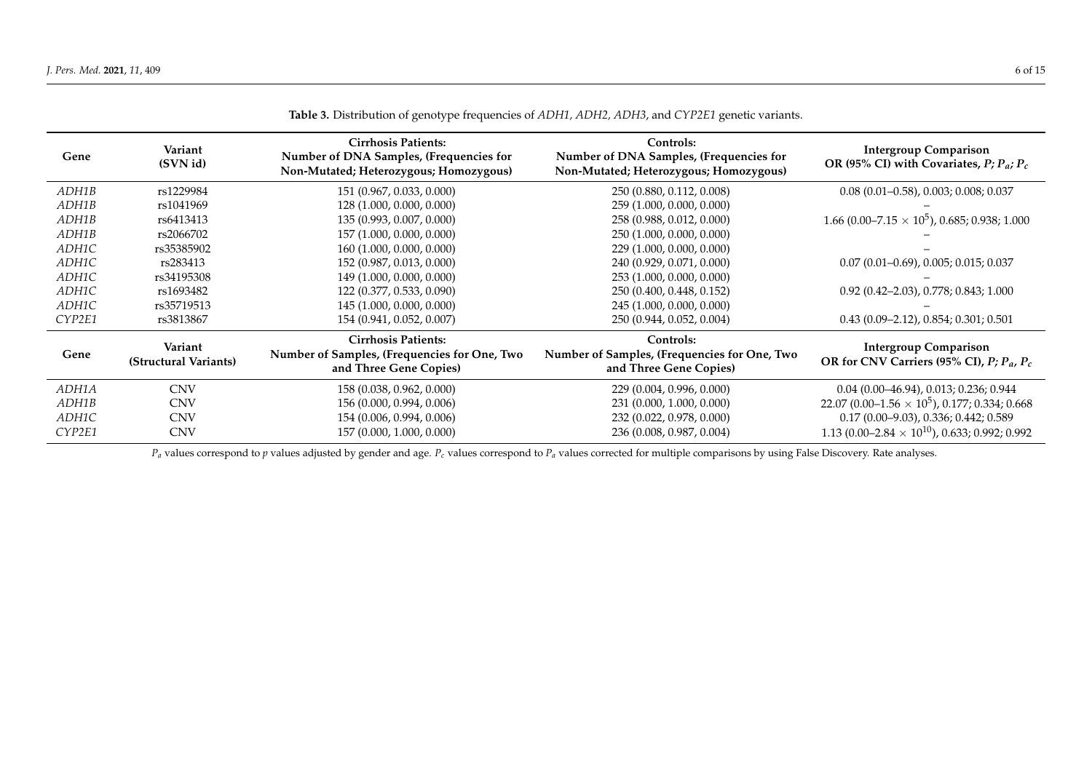| Gene   | Variant<br>(SVN id)              | <b>Cirrhosis Patients:</b><br>Number of DNA Samples, (Frequencies for<br>Non-Mutated; Heterozygous; Homozygous) | Controls:<br>Number of DNA Samples, (Frequencies for<br>Non-Mutated; Heterozygous; Homozygous) | <b>Intergroup Comparison</b><br>OR (95% CI) with Covariates, $P$ ; $P_a$ ; $P_c$ |
|--------|----------------------------------|-----------------------------------------------------------------------------------------------------------------|------------------------------------------------------------------------------------------------|----------------------------------------------------------------------------------|
| ADH1B  | rs1229984                        | 151 (0.967, 0.033, 0.000)                                                                                       | 250 (0.880, 0.112, 0.008)                                                                      | $0.08$ (0.01-0.58), 0.003; 0.008; 0.037                                          |
| ADH1B  | rs1041969                        | 128 (1.000, 0.000, 0.000)                                                                                       | 259 (1.000, 0.000, 0.000)                                                                      |                                                                                  |
| ADH1B  | rs6413413                        | 135 (0.993, 0.007, 0.000)                                                                                       | 258 (0.988, 0.012, 0.000)                                                                      | 1.66 (0.00–7.15 $\times$ 10 <sup>5</sup> ), 0.685; 0.938; 1.000                  |
| ADH1B  | rs2066702                        | 157 (1.000, 0.000, 0.000)                                                                                       | 250 (1.000, 0.000, 0.000)                                                                      |                                                                                  |
| ADH1C  | rs35385902                       | 160 (1.000, 0.000, 0.000)                                                                                       | 229 (1.000, 0.000, 0.000)                                                                      |                                                                                  |
| ADH1C  | rs283413                         | 152 (0.987, 0.013, 0.000)                                                                                       | 240 (0.929, 0.071, 0.000)                                                                      | $0.07(0.01-0.69)$ , $0.005$ ; $0.015$ ; $0.037$                                  |
| ADH1C  | rs34195308                       | 149 (1.000, 0.000, 0.000)                                                                                       | 253 (1.000, 0.000, 0.000)                                                                      |                                                                                  |
| ADH1C  | rs1693482                        | 122 (0.377, 0.533, 0.090)                                                                                       | 250 (0.400, 0.448, 0.152)                                                                      | $0.92$ $(0.42 - 2.03)$ , $0.778$ ; $0.843$ ; $1.000$                             |
| ADH1C  | rs35719513                       | 145 (1.000, 0.000, 0.000)                                                                                       | 245 (1.000, 0.000, 0.000)                                                                      |                                                                                  |
| CYP2E1 | rs3813867                        | 154 (0.941, 0.052, 0.007)                                                                                       | 250 (0.944, 0.052, 0.004)                                                                      | $0.43(0.09-2.12), 0.854; 0.301; 0.501$                                           |
| Gene   | Variant<br>(Structural Variants) | <b>Cirrhosis Patients:</b><br>Number of Samples, (Frequencies for One, Two<br>and Three Gene Copies)            | Controls:<br>Number of Samples, (Frequencies for One, Two<br>and Three Gene Copies)            | <b>Intergroup Comparison</b><br>OR for CNV Carriers (95% CI), $P_i P_a$ , $P_c$  |
| ADH1A  | <b>CNV</b>                       | 158 (0.038, 0.962, 0.000)                                                                                       | 229 (0.004, 0.996, 0.000)                                                                      | $0.04(0.00-46.94), 0.013; 0.236; 0.944$                                          |
| ADH1B  | <b>CNV</b>                       | 156 (0.000, 0.994, 0.006)                                                                                       | 231 (0.000, 1.000, 0.000)                                                                      | 22.07 (0.00–1.56 $\times$ 10 <sup>5</sup> ), 0.177; 0.334; 0.668                 |
| ADH1C  | <b>CNV</b>                       | 154 (0.006, 0.994, 0.006)                                                                                       | 232 (0.022, 0.978, 0.000)                                                                      | $0.17(0.00 - 9.03), 0.336; 0.442; 0.589$                                         |
| CYP2E1 | <b>CNV</b>                       | 157 (0.000, 1.000, 0.000)                                                                                       | 236 (0.008, 0.987, 0.004)                                                                      | 1.13 (0.00–2.84 $\times$ 10 <sup>10</sup> ), 0.633; 0.992; 0.992                 |

**Table 3.** Distribution of genotype frequencies of *ADH1, ADH2, ADH3*, and *CYP2E1* genetic variants.

<span id="page-5-0"></span>*P<sup>a</sup>* values correspond to *p* values adjusted by gender and age. *P<sup>c</sup>* values correspond to *P<sup>a</sup>* values corrected for multiple comparisons by using False Discovery. Rate analyses.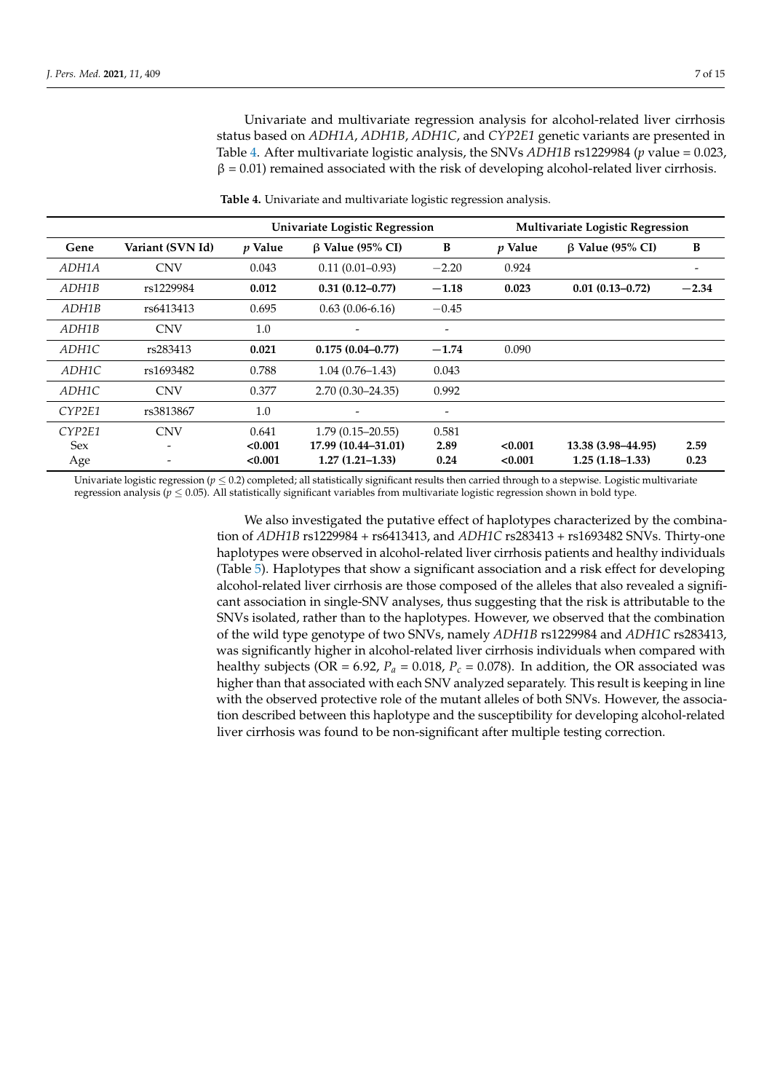Univariate and multivariate regression analysis for alcohol-related liver cirrhosis status based on *ADH1A*, *ADH1B*, *ADH1C*, and *CYP2E1* genetic variants are presented in Table [4.](#page-6-0) After multivariate logistic analysis, the SNVs *ADH1B* rs1229984 (*p* value = 0.023,  $\beta$  = 0.01) remained associated with the risk of developing alcohol-related liver cirrhosis.

**Table 4.** Univariate and multivariate logistic regression analysis.

<span id="page-6-0"></span>

|              |                  | Univariate Logistic Regression |                        |                 | <b>Multivariate Logistic Regression</b> |                        |         |
|--------------|------------------|--------------------------------|------------------------|-----------------|-----------------------------------------|------------------------|---------|
| Gene         | Variant (SVN Id) | <i>p</i> Value                 | $\beta$ Value (95% CI) | B               | <i>p</i> Value                          | $\beta$ Value (95% CI) | B       |
| <i>ADH1A</i> | <b>CNV</b>       | 0.043                          | $0.11(0.01 - 0.93)$    | $-2.20$         | 0.924                                   |                        | -       |
| ADH1B        | rs1229984        | 0.012                          | $0.31(0.12 - 0.77)$    | $-1.18$         | 0.023                                   | $0.01(0.13 - 0.72)$    | $-2.34$ |
| ADH1B        | rs6413413        | 0.695                          | $0.63(0.06-6.16)$      | $-0.45$         |                                         |                        |         |
| ADH1B        | <b>CNV</b>       | 1.0                            |                        |                 |                                         |                        |         |
| ADH1C        | rs283413         | 0.021                          | $0.175(0.04 - 0.77)$   | $-1.74$         | 0.090                                   |                        |         |
| ADH1C        | rs1693482        | 0.788                          | $1.04(0.76 - 1.43)$    | 0.043           |                                         |                        |         |
| ADH1C        | <b>CNV</b>       | 0.377                          | $2.70(0.30 - 24.35)$   | 0.992           |                                         |                        |         |
| CYP2E1       | rs3813867        | 1.0                            |                        | $\qquad \qquad$ |                                         |                        |         |
| CYP2E1       | <b>CNV</b>       | 0.641                          | $1.79(0.15 - 20.55)$   | 0.581           |                                         |                        |         |
| <b>Sex</b>   |                  | < 0.001                        | 17.99 (10.44–31.01)    | 2.89            | < 0.001                                 | 13.38 (3.98–44.95)     | 2.59    |
| Age          |                  | < 0.001                        | $1.27(1.21-1.33)$      | 0.24            | < 0.001                                 | $1.25(1.18-1.33)$      | 0.23    |

Univariate logistic regression  $(p < 0.2)$  completed; all statistically significant results then carried through to a stepwise. Logistic multivariate regression analysis ( $p \leq 0.05$ ). All statistically significant variables from multivariate logistic regression shown in bold type.

> We also investigated the putative effect of haplotypes characterized by the combination of *ADH1B* rs1229984 + rs6413413, and *ADH1C* rs283413 + rs1693482 SNVs. Thirty-one haplotypes were observed in alcohol-related liver cirrhosis patients and healthy individuals (Table [5\)](#page-7-0). Haplotypes that show a significant association and a risk effect for developing alcohol-related liver cirrhosis are those composed of the alleles that also revealed a significant association in single-SNV analyses, thus suggesting that the risk is attributable to the SNVs isolated, rather than to the haplotypes. However, we observed that the combination of the wild type genotype of two SNVs, namely *ADH1B* rs1229984 and *ADH1C* rs283413, was significantly higher in alcohol-related liver cirrhosis individuals when compared with healthy subjects (OR = 6.92,  $P_a$  = 0.018,  $P_c$  = 0.078). In addition, the OR associated was higher than that associated with each SNV analyzed separately. This result is keeping in line with the observed protective role of the mutant alleles of both SNVs. However, the association described between this haplotype and the susceptibility for developing alcohol-related liver cirrhosis was found to be non-significant after multiple testing correction.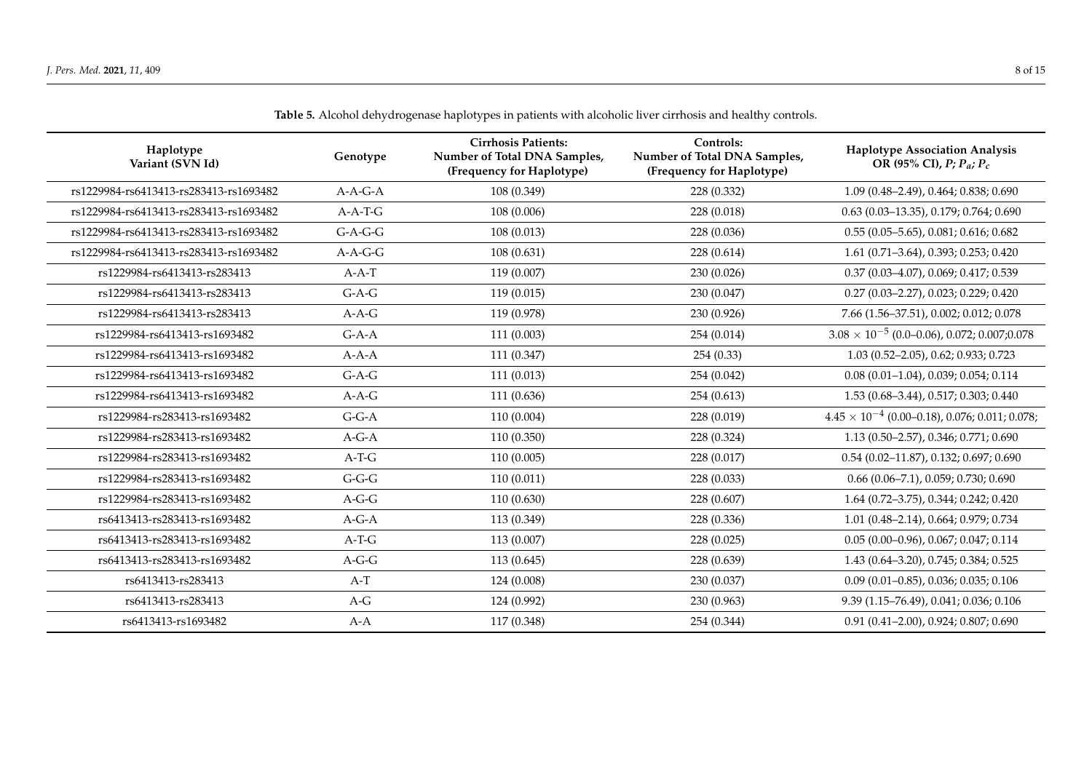<span id="page-7-0"></span>

| Haplotype<br>Variant (SVN Id)          | Genotype  | <b>Cirrhosis Patients:</b><br>Number of Total DNA Samples,<br>(Frequency for Haplotype) | Controls:<br>Number of Total DNA Samples,<br>(Frequency for Haplotype) | <b>Haplotype Association Analysis</b><br>OR (95% CI), $P; P_a; P_c$ |
|----------------------------------------|-----------|-----------------------------------------------------------------------------------------|------------------------------------------------------------------------|---------------------------------------------------------------------|
| rs1229984-rs6413413-rs283413-rs1693482 | $A-A-G-A$ | 108 (0.349)                                                                             | 228 (0.332)                                                            | 1.09 (0.48-2.49), 0.464; 0.838; 0.690                               |
| rs1229984-rs6413413-rs283413-rs1693482 | $A-A-T-G$ | 108 (0.006)                                                                             | 228 (0.018)                                                            | $0.63(0.03-13.35), 0.179; 0.764; 0.690$                             |
| rs1229984-rs6413413-rs283413-rs1693482 | $G-A-G-G$ | 108(0.013)                                                                              | 228 (0.036)                                                            | $0.55(0.05 - 5.65), 0.081; 0.616; 0.682$                            |
| rs1229984-rs6413413-rs283413-rs1693482 | $A-A-G-G$ | 108(0.631)                                                                              | 228 (0.614)                                                            | 1.61 (0.71-3.64), 0.393; 0.253; 0.420                               |
| rs1229984-rs6413413-rs283413           | $A-A-T$   | 119 (0.007)                                                                             | 230 (0.026)                                                            | 0.37 (0.03-4.07), 0.069; 0.417; 0.539                               |
| rs1229984-rs6413413-rs283413           | $G-A-G$   | 119(0.015)                                                                              | 230 (0.047)                                                            | $0.27$ (0.03-2.27), 0.023; 0.229; 0.420                             |
| rs1229984-rs6413413-rs283413           | $A-A-G$   | 119 (0.978)                                                                             | 230 (0.926)                                                            | 7.66 (1.56-37.51), 0.002; 0.012; 0.078                              |
| rs1229984-rs6413413-rs1693482          | $G-A-A$   | 111 (0.003)                                                                             | 254 (0.014)                                                            | $3.08 \times 10^{-5}$ (0.0–0.06), 0.072; 0.007; 0.078               |
| rs1229984-rs6413413-rs1693482          | $A-A-A$   | 111(0.347)                                                                              | 254(0.33)                                                              | 1.03 (0.52-2.05), 0.62; 0.933; 0.723                                |
| rs1229984-rs6413413-rs1693482          | $G-A-G$   | 111(0.013)                                                                              | 254 (0.042)                                                            | $0.08(0.01-1.04), 0.039; 0.054; 0.114$                              |
| rs1229984-rs6413413-rs1693482          | $A-A-G$   | 111 (0.636)                                                                             | 254(0.613)                                                             | 1.53 (0.68-3.44), 0.517; 0.303; 0.440                               |
| rs1229984-rs283413-rs1693482           | $G-G-A$   | 110(0.004)                                                                              | 228 (0.019)                                                            | $4.45 \times 10^{-4}$ (0.00–0.18), 0.076; 0.011; 0.078;             |
| rs1229984-rs283413-rs1693482           | $A-G-A$   | 110(0.350)                                                                              | 228 (0.324)                                                            | 1.13 (0.50-2.57), 0.346; 0.771; 0.690                               |
| rs1229984-rs283413-rs1693482           | $A-T-G$   | 110(0.005)                                                                              | 228 (0.017)                                                            | $0.54$ (0.02-11.87), 0.132; 0.697; 0.690                            |
| rs1229984-rs283413-rs1693482           | $G-G-G$   | 110(0.011)                                                                              | 228(0.033)                                                             | $0.66$ $(0.06 - 7.1)$ , $0.059$ ; $0.730$ ; $0.690$                 |
| rs1229984-rs283413-rs1693482           | $A-G-G$   | 110 (0.630)                                                                             | 228 (0.607)                                                            | 1.64 (0.72-3.75), 0.344; 0.242; 0.420                               |
| rs6413413-rs283413-rs1693482           | $A-G-A$   | 113 (0.349)                                                                             | 228 (0.336)                                                            | 1.01 (0.48-2.14), 0.664; 0.979; 0.734                               |
| rs6413413-rs283413-rs1693482           | $A-T-G$   | 113 (0.007)                                                                             | 228 (0.025)                                                            | $0.05(0.00-0.96), 0.067; 0.047; 0.114$                              |
| rs6413413-rs283413-rs1693482           | $A-G-G$   | 113(0.645)                                                                              | 228 (0.639)                                                            | 1.43 (0.64-3.20), 0.745; 0.384; 0.525                               |
| rs6413413-rs283413                     | $A-T$     | 124 (0.008)                                                                             | 230 (0.037)                                                            | $0.09$ (0.01-0.85), 0.036; 0.035; 0.106                             |
| rs6413413-rs283413                     | $A-G$     | 124 (0.992)                                                                             | 230 (0.963)                                                            | 9.39 (1.15-76.49), 0.041; 0.036; 0.106                              |
| rs6413413-rs1693482                    | $A-A$     | 117 (0.348)                                                                             | 254 (0.344)                                                            | 0.91 (0.41-2.00), 0.924; 0.807; 0.690                               |

**Table 5.** Alcohol dehydrogenase haplotypes in patients with alcoholic liver cirrhosis and healthy controls.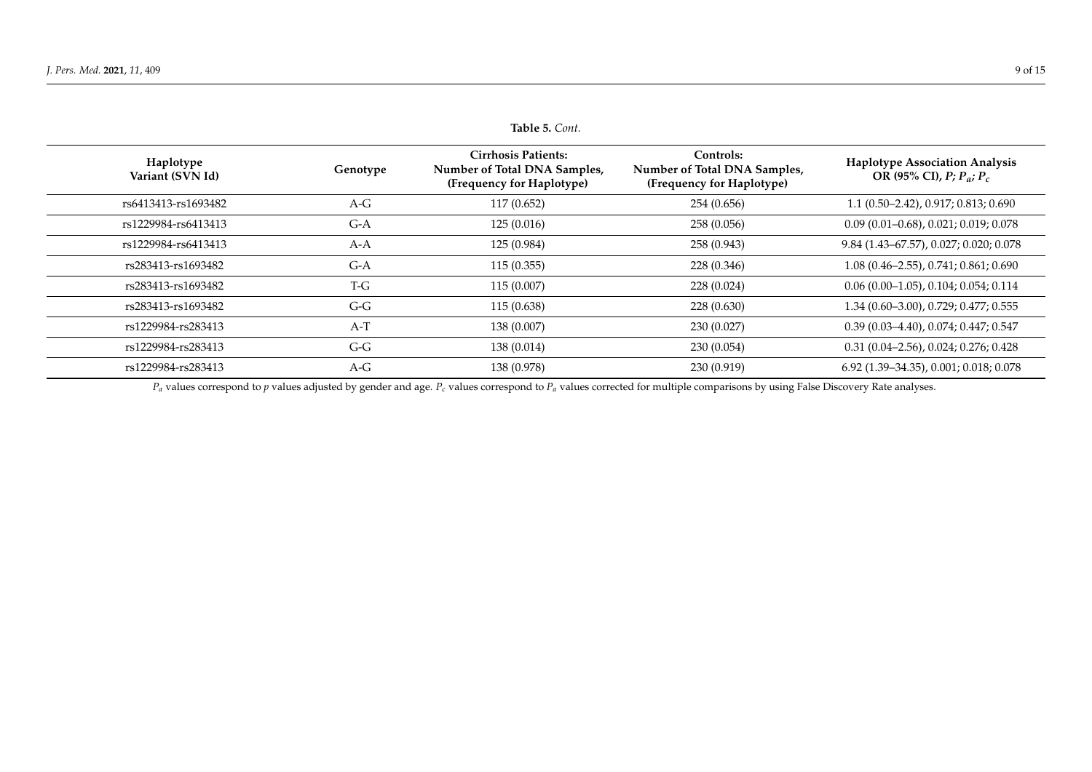| lable 5. Cont.                |          |                                                                                         |                                                                        |                                                                     |  |  |
|-------------------------------|----------|-----------------------------------------------------------------------------------------|------------------------------------------------------------------------|---------------------------------------------------------------------|--|--|
| Haplotype<br>Variant (SVN Id) | Genotype | <b>Cirrhosis Patients:</b><br>Number of Total DNA Samples,<br>(Frequency for Haplotype) | Controls:<br>Number of Total DNA Samples,<br>(Frequency for Haplotype) | <b>Haplotype Association Analysis</b><br>OR (95% CI), $P; P_a; P_c$ |  |  |
| rs6413413-rs1693482           | $A-G$    | 117 (0.652)                                                                             | 254 (0.656)                                                            | $1.1(0.50-2.42), 0.917; 0.813; 0.690$                               |  |  |
| rs1229984-rs6413413           | $G-A$    | 125(0.016)                                                                              | 258 (0.056)                                                            | $0.09(0.01-0.68), 0.021; 0.019; 0.078$                              |  |  |
| rs1229984-rs6413413           | $A-A$    | 125 (0.984)                                                                             | 258 (0.943)                                                            | 9.84 (1.43–67.57), 0.027; 0.020; 0.078                              |  |  |
| rs283413-rs1693482            | $G-A$    | 115(0.355)                                                                              | 228 (0.346)                                                            | $1.08(0.46-2.55), 0.741; 0.861; 0.690$                              |  |  |
| rs283413-rs1693482            | T-G      | 115 (0.007)                                                                             | 228 (0.024)                                                            | $0.06(0.00-1.05)$ , $0.104$ ; $0.054$ ; $0.114$                     |  |  |
| rs283413-rs1693482            | $G-G$    | 115 (0.638)                                                                             | 228 (0.630)                                                            | 1.34 (0.60-3.00), 0.729; 0.477; 0.555                               |  |  |
| rs1229984-rs283413            | $A-T$    | 138 (0.007)                                                                             | 230 (0.027)                                                            | $0.39(0.03-4.40), 0.074; 0.447; 0.547$                              |  |  |
| rs1229984-rs283413            | $G-G$    | 138 (0.014)                                                                             | 230(0.054)                                                             | $0.31(0.04-2.56), 0.024; 0.276; 0.428$                              |  |  |
| rs1229984-rs283413            | $A-G$    | 138 (0.978)                                                                             | 230 (0.919)                                                            | 6.92 (1.39–34.35), 0.001; 0.018; 0.078                              |  |  |

**Table 5.** *Cont.*

 $P_a$  values correspond to *p* values adjusted by gender and age.  $P_c$  values correspond to  $P_a$  values corrected for multiple comparisons by using False Discovery Rate analyses.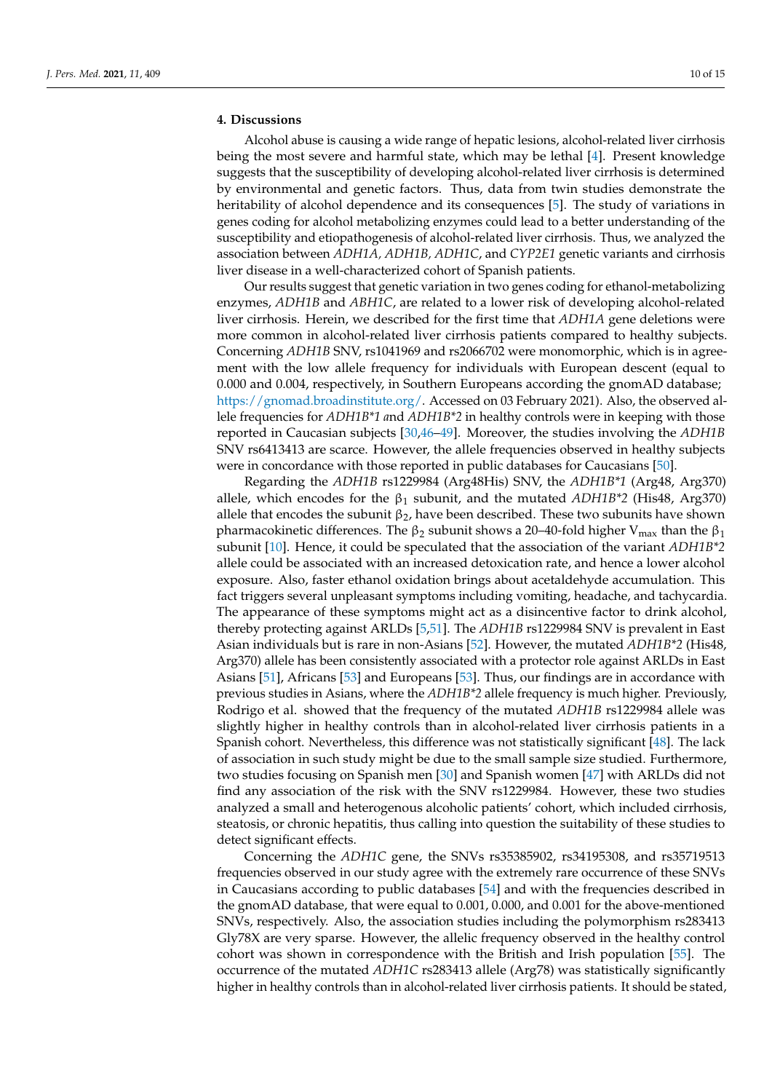## **4. Discussions**

Alcohol abuse is causing a wide range of hepatic lesions, alcohol-related liver cirrhosis being the most severe and harmful state, which may be lethal [\[4\]](#page-11-3). Present knowledge suggests that the susceptibility of developing alcohol-related liver cirrhosis is determined by environmental and genetic factors. Thus, data from twin studies demonstrate the heritability of alcohol dependence and its consequences [\[5\]](#page-11-4). The study of variations in genes coding for alcohol metabolizing enzymes could lead to a better understanding of the susceptibility and etiopathogenesis of alcohol-related liver cirrhosis. Thus, we analyzed the association between *ADH1A, ADH1B, ADH1C*, and *CYP2E1* genetic variants and cirrhosis liver disease in a well-characterized cohort of Spanish patients.

Our results suggest that genetic variation in two genes coding for ethanol-metabolizing enzymes, *ADH1B* and *ABH1C*, are related to a lower risk of developing alcohol-related liver cirrhosis. Herein, we described for the first time that *ADH1A* gene deletions were more common in alcohol-related liver cirrhosis patients compared to healthy subjects. Concerning *ADH1B* SNV, rs1041969 and rs2066702 were monomorphic, which is in agreement with the low allele frequency for individuals with European descent (equal to 0.000 and 0.004, respectively, in Southern Europeans according the gnomAD database; [https://gnomad.broadinstitute.org/.](https://gnomad.broadinstitute.org/) Accessed on 03 February 2021). Also, the observed allele frequencies for *ADH1B\*1 a*nd *ADH1B\*2* in healthy controls were in keeping with those reported in Caucasian subjects [\[30,](#page-12-20)[46–](#page-13-5)[49\]](#page-13-6). Moreover, the studies involving the *ADH1B* SNV rs6413413 are scarce. However, the allele frequencies observed in healthy subjects were in concordance with those reported in public databases for Caucasians [\[50\]](#page-13-7).

Regarding the *ADH1B* rs1229984 (Arg48His) SNV, the *ADH1B\*1* (Arg48, Arg370) allele, which encodes for the  $\beta_1$  subunit, and the mutated *ADH1B*<sup>\*</sup>2 (His48, Arg370) allele that encodes the subunit  $\beta_2$ , have been described. These two subunits have shown pharmacokinetic differences. The  $β_2$  subunit shows a 20–40-fold higher V<sub>max</sub> than the  $β_1$ subunit [\[10\]](#page-11-9). Hence, it could be speculated that the association of the variant *ADH1B\*2* allele could be associated with an increased detoxication rate, and hence a lower alcohol exposure. Also, faster ethanol oxidation brings about acetaldehyde accumulation. This fact triggers several unpleasant symptoms including vomiting, headache, and tachycardia. The appearance of these symptoms might act as a disincentive factor to drink alcohol, thereby protecting against ARLDs [\[5](#page-11-4)[,51\]](#page-13-8). The *ADH1B* rs1229984 SNV is prevalent in East Asian individuals but is rare in non-Asians [\[52\]](#page-13-9). However, the mutated *ADH1B\*2* (His48, Arg370) allele has been consistently associated with a protector role against ARLDs in East Asians [\[51\]](#page-13-8), Africans [\[53\]](#page-13-10) and Europeans [\[53\]](#page-13-10). Thus, our findings are in accordance with previous studies in Asians, where the *ADH1B\*2* allele frequency is much higher. Previously, Rodrigo et al. showed that the frequency of the mutated *ADH1B* rs1229984 allele was slightly higher in healthy controls than in alcohol-related liver cirrhosis patients in a Spanish cohort. Nevertheless, this difference was not statistically significant [\[48\]](#page-13-11). The lack of association in such study might be due to the small sample size studied. Furthermore, two studies focusing on Spanish men [\[30\]](#page-12-20) and Spanish women [\[47\]](#page-13-12) with ARLDs did not find any association of the risk with the SNV rs1229984. However, these two studies analyzed a small and heterogenous alcoholic patients' cohort, which included cirrhosis, steatosis, or chronic hepatitis, thus calling into question the suitability of these studies to detect significant effects.

Concerning the *ADH1C* gene, the SNVs rs35385902, rs34195308, and rs35719513 frequencies observed in our study agree with the extremely rare occurrence of these SNVs in Caucasians according to public databases [\[54\]](#page-13-13) and with the frequencies described in the gnomAD database, that were equal to 0.001, 0.000, and 0.001 for the above-mentioned SNVs, respectively. Also, the association studies including the polymorphism rs283413 Gly78X are very sparse. However, the allelic frequency observed in the healthy control cohort was shown in correspondence with the British and Irish population [\[55\]](#page-13-14). The occurrence of the mutated *ADH1C* rs283413 allele (Arg78) was statistically significantly higher in healthy controls than in alcohol-related liver cirrhosis patients. It should be stated,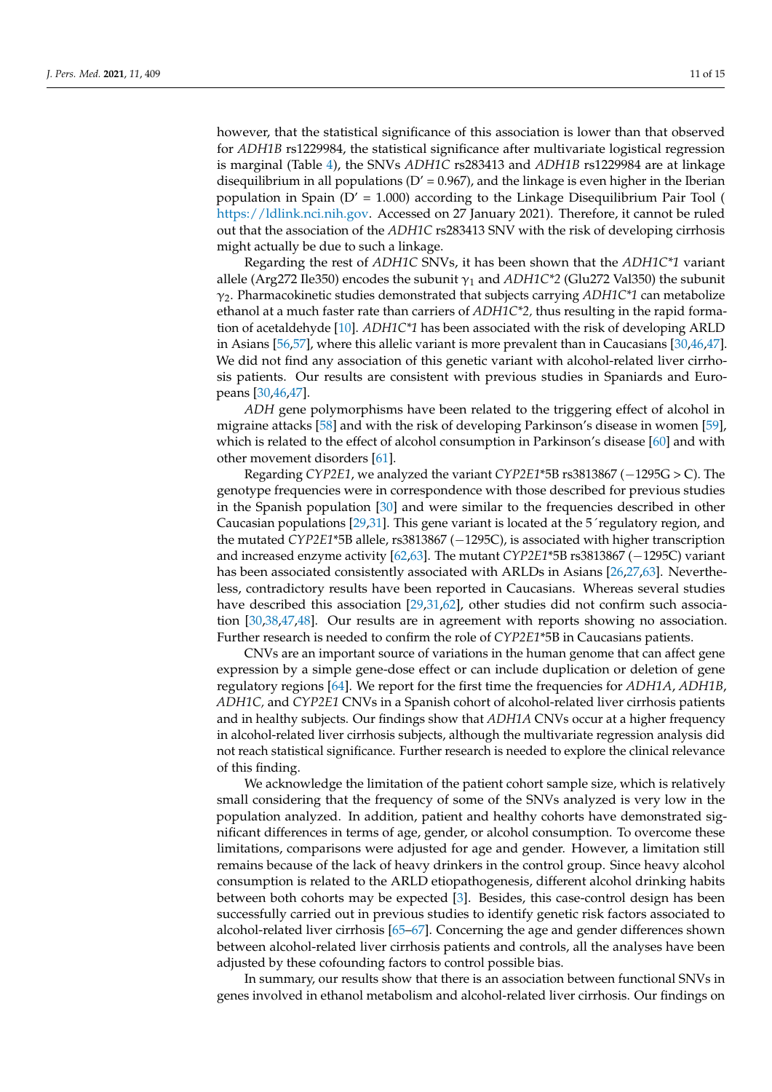however, that the statistical significance of this association is lower than that observed for *ADH1B* rs1229984, the statistical significance after multivariate logistical regression is marginal (Table [4\)](#page-6-0), the SNVs *ADH1C* rs283413 and *ADH1B* rs1229984 are at linkage disequilibrium in all populations ( $D' = 0.967$ ), and the linkage is even higher in the Iberian population in Spain  $(D' = 1.000)$  $(D' = 1.000)$  according to the Linkage Disequilibrium Pair Tool ( [https://ldlink.nci.nih.gov.](https://ldlink.nci.nih.gov) Accessed on 27 January 2021). Therefore, it cannot be ruled out that the association of the *ADH1C* rs283413 SNV with the risk of developing cirrhosis might actually be due to such a linkage.

Regarding the rest of *ADH1C* SNVs, it has been shown that the *ADH1C\*1* variant allele (Arg272 Ile350) encodes the subunit  $\gamma_1$  and  $ADH1C^*2$  (Glu272 Val350) the subunit γ2. Pharmacokinetic studies demonstrated that subjects carrying *ADH1C\*1* can metabolize ethanol at a much faster rate than carriers of *ADH1C\*2,* thus resulting in the rapid formation of acetaldehyde [\[10\]](#page-11-9). *ADH1C\*1* has been associated with the risk of developing ARLD in Asians [\[56,](#page-13-15)[57\]](#page-13-16), where this allelic variant is more prevalent than in Caucasians [\[30](#page-12-20)[,46](#page-13-5)[,47\]](#page-13-12). We did not find any association of this genetic variant with alcohol-related liver cirrhosis patients. Our results are consistent with previous studies in Spaniards and Europeans [\[30](#page-12-20)[,46](#page-13-5)[,47\]](#page-13-12).

*ADH* gene polymorphisms have been related to the triggering effect of alcohol in migraine attacks [\[58\]](#page-13-17) and with the risk of developing Parkinson's disease in women [\[59\]](#page-14-0), which is related to the effect of alcohol consumption in Parkinson's disease [\[60\]](#page-14-1) and with other movement disorders [\[61\]](#page-14-2).

Regarding *CYP2E1*, we analyzed the variant *CYP2E1*\*5B rs3813867 (−1295G > C). The genotype frequencies were in correspondence with those described for previous studies in the Spanish population [\[30\]](#page-12-20) and were similar to the frequencies described in other Caucasian populations [\[29](#page-12-21)[,31\]](#page-12-15). This gene variant is located at the 5´regulatory region, and the mutated *CYP2E1*\*5B allele, rs3813867 (−1295C), is associated with higher transcription and increased enzyme activity [\[62,](#page-14-3)[63\]](#page-14-4). The mutant *CYP2E1*\*5B rs3813867 (−1295C) variant has been associated consistently associated with ARLDs in Asians [\[26](#page-12-22)[,27](#page-12-13)[,63\]](#page-14-4). Nevertheless, contradictory results have been reported in Caucasians. Whereas several studies have described this association [\[29,](#page-12-21)[31,](#page-12-15)[62\]](#page-14-3), other studies did not confirm such association [\[30,](#page-12-20)[38,](#page-13-18)[47,](#page-13-12)[48\]](#page-13-11). Our results are in agreement with reports showing no association. Further research is needed to confirm the role of *CYP2E1*\*5B in Caucasians patients.

CNVs are an important source of variations in the human genome that can affect gene expression by a simple gene-dose effect or can include duplication or deletion of gene regulatory regions [\[64\]](#page-14-5). We report for the first time the frequencies for *ADH1A*, *ADH1B*, *ADH1C,* and *CYP2E1* CNVs in a Spanish cohort of alcohol-related liver cirrhosis patients and in healthy subjects. Our findings show that *ADH1A* CNVs occur at a higher frequency in alcohol-related liver cirrhosis subjects, although the multivariate regression analysis did not reach statistical significance. Further research is needed to explore the clinical relevance of this finding.

We acknowledge the limitation of the patient cohort sample size, which is relatively small considering that the frequency of some of the SNVs analyzed is very low in the population analyzed. In addition, patient and healthy cohorts have demonstrated significant differences in terms of age, gender, or alcohol consumption. To overcome these limitations, comparisons were adjusted for age and gender. However, a limitation still remains because of the lack of heavy drinkers in the control group. Since heavy alcohol consumption is related to the ARLD etiopathogenesis, different alcohol drinking habits between both cohorts may be expected [\[3\]](#page-11-2). Besides, this case-control design has been successfully carried out in previous studies to identify genetic risk factors associated to alcohol-related liver cirrhosis [\[65–](#page-14-6)[67\]](#page-14-7). Concerning the age and gender differences shown between alcohol-related liver cirrhosis patients and controls, all the analyses have been adjusted by these cofounding factors to control possible bias.

In summary, our results show that there is an association between functional SNVs in genes involved in ethanol metabolism and alcohol-related liver cirrhosis. Our findings on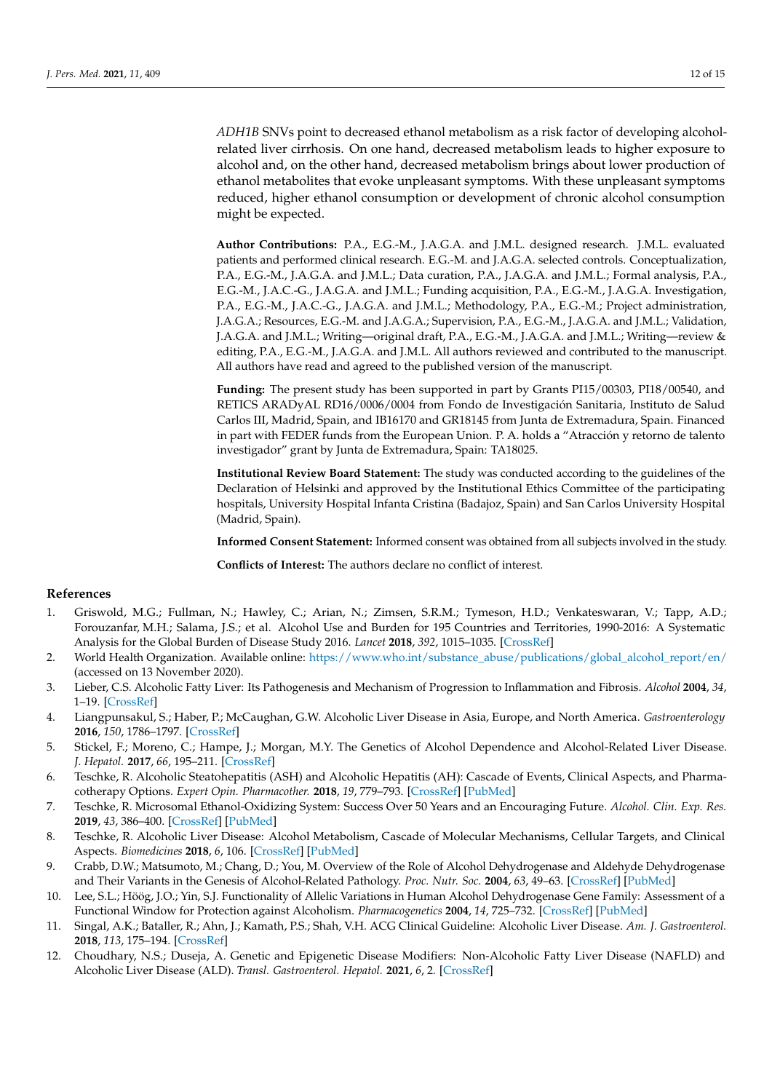*ADH1B* SNVs point to decreased ethanol metabolism as a risk factor of developing alcoholrelated liver cirrhosis. On one hand, decreased metabolism leads to higher exposure to alcohol and, on the other hand, decreased metabolism brings about lower production of ethanol metabolites that evoke unpleasant symptoms. With these unpleasant symptoms reduced, higher ethanol consumption or development of chronic alcohol consumption might be expected.

**Author Contributions:** P.A., E.G.-M., J.A.G.A. and J.M.L. designed research. J.M.L. evaluated patients and performed clinical research. E.G.-M. and J.A.G.A. selected controls. Conceptualization, P.A., E.G.-M., J.A.G.A. and J.M.L.; Data curation, P.A., J.A.G.A. and J.M.L.; Formal analysis, P.A., E.G.-M., J.A.C.-G., J.A.G.A. and J.M.L.; Funding acquisition, P.A., E.G.-M., J.A.G.A. Investigation, P.A., E.G.-M., J.A.C.-G., J.A.G.A. and J.M.L.; Methodology, P.A., E.G.-M.; Project administration, J.A.G.A.; Resources, E.G.-M. and J.A.G.A.; Supervision, P.A., E.G.-M., J.A.G.A. and J.M.L.; Validation, J.A.G.A. and J.M.L.; Writing—original draft, P.A., E.G.-M., J.A.G.A. and J.M.L.; Writing—review & editing, P.A., E.G.-M., J.A.G.A. and J.M.L. All authors reviewed and contributed to the manuscript. All authors have read and agreed to the published version of the manuscript.

**Funding:** The present study has been supported in part by Grants PI15/00303, PI18/00540, and RETICS ARADyAL RD16/0006/0004 from Fondo de Investigación Sanitaria, Instituto de Salud Carlos III, Madrid, Spain, and IB16170 and GR18145 from Junta de Extremadura, Spain. Financed in part with FEDER funds from the European Union. P. A. holds a "Atracción y retorno de talento investigador" grant by Junta de Extremadura, Spain: TA18025.

**Institutional Review Board Statement:** The study was conducted according to the guidelines of the Declaration of Helsinki and approved by the Institutional Ethics Committee of the participating hospitals, University Hospital Infanta Cristina (Badajoz, Spain) and San Carlos University Hospital (Madrid, Spain).

**Informed Consent Statement:** Informed consent was obtained from all subjects involved in the study.

**Conflicts of Interest:** The authors declare no conflict of interest.

## **References**

- <span id="page-11-0"></span>1. Griswold, M.G.; Fullman, N.; Hawley, C.; Arian, N.; Zimsen, S.R.M.; Tymeson, H.D.; Venkateswaran, V.; Tapp, A.D.; Forouzanfar, M.H.; Salama, J.S.; et al. Alcohol Use and Burden for 195 Countries and Territories, 1990-2016: A Systematic Analysis for the Global Burden of Disease Study 2016. *Lancet* **2018**, *392*, 1015–1035. [\[CrossRef\]](http://doi.org/10.1016/S0140-6736(18)31310-2)
- <span id="page-11-1"></span>2. World Health Organization. Available online: [https://www.who.int/substance\\_abuse/publications/global\\_alcohol\\_report/en/](https://www.who.int/substance_abuse/publications/global_alcohol_report/en/) (accessed on 13 November 2020).
- <span id="page-11-2"></span>3. Lieber, C.S. Alcoholic Fatty Liver: Its Pathogenesis and Mechanism of Progression to Inflammation and Fibrosis. *Alcohol* **2004**, *34*, 1–19. [\[CrossRef\]](http://doi.org/10.1016/j.alcohol.2004.07.008)
- <span id="page-11-3"></span>4. Liangpunsakul, S.; Haber, P.; McCaughan, G.W. Alcoholic Liver Disease in Asia, Europe, and North America. *Gastroenterology* **2016**, *150*, 1786–1797. [\[CrossRef\]](http://doi.org/10.1053/j.gastro.2016.02.043)
- <span id="page-11-4"></span>5. Stickel, F.; Moreno, C.; Hampe, J.; Morgan, M.Y. The Genetics of Alcohol Dependence and Alcohol-Related Liver Disease. *J. Hepatol.* **2017**, *66*, 195–211. [\[CrossRef\]](http://doi.org/10.1016/j.jhep.2016.08.011)
- <span id="page-11-5"></span>6. Teschke, R. Alcoholic Steatohepatitis (ASH) and Alcoholic Hepatitis (AH): Cascade of Events, Clinical Aspects, and Pharmacotherapy Options. *Expert Opin. Pharmacother.* **2018**, *19*, 779–793. [\[CrossRef\]](http://doi.org/10.1080/14656566.2018.1465929) [\[PubMed\]](http://www.ncbi.nlm.nih.gov/pubmed/29708448)
- <span id="page-11-6"></span>7. Teschke, R. Microsomal Ethanol-Oxidizing System: Success Over 50 Years and an Encouraging Future. *Alcohol. Clin. Exp. Res.* **2019**, *43*, 386–400. [\[CrossRef\]](http://doi.org/10.1111/acer.13961) [\[PubMed\]](http://www.ncbi.nlm.nih.gov/pubmed/30667528)
- <span id="page-11-7"></span>8. Teschke, R. Alcoholic Liver Disease: Alcohol Metabolism, Cascade of Molecular Mechanisms, Cellular Targets, and Clinical Aspects. *Biomedicines* **2018**, *6*, 106. [\[CrossRef\]](http://doi.org/10.3390/biomedicines6040106) [\[PubMed\]](http://www.ncbi.nlm.nih.gov/pubmed/30424581)
- <span id="page-11-8"></span>9. Crabb, D.W.; Matsumoto, M.; Chang, D.; You, M. Overview of the Role of Alcohol Dehydrogenase and Aldehyde Dehydrogenase and Their Variants in the Genesis of Alcohol-Related Pathology. *Proc. Nutr. Soc.* **2004**, *63*, 49–63. [\[CrossRef\]](http://doi.org/10.1079/PNS2003327) [\[PubMed\]](http://www.ncbi.nlm.nih.gov/pubmed/15099407)
- <span id="page-11-9"></span>10. Lee, S.L.; Höög, J.O.; Yin, S.J. Functionality of Allelic Variations in Human Alcohol Dehydrogenase Gene Family: Assessment of a Functional Window for Protection against Alcoholism. *Pharmacogenetics* **2004**, *14*, 725–732. [\[CrossRef\]](http://doi.org/10.1097/00008571-200411000-00003) [\[PubMed\]](http://www.ncbi.nlm.nih.gov/pubmed/15564879)
- <span id="page-11-10"></span>11. Singal, A.K.; Bataller, R.; Ahn, J.; Kamath, P.S.; Shah, V.H. ACG Clinical Guideline: Alcoholic Liver Disease. *Am. J. Gastroenterol.* **2018**, *113*, 175–194. [\[CrossRef\]](http://doi.org/10.1038/ajg.2017.469)
- <span id="page-11-11"></span>12. Choudhary, N.S.; Duseja, A. Genetic and Epigenetic Disease Modifiers: Non-Alcoholic Fatty Liver Disease (NAFLD) and Alcoholic Liver Disease (ALD). *Transl. Gastroenterol. Hepatol.* **2021**, *6*, 2. [\[CrossRef\]](http://doi.org/10.21037/tgh.2019.09.06)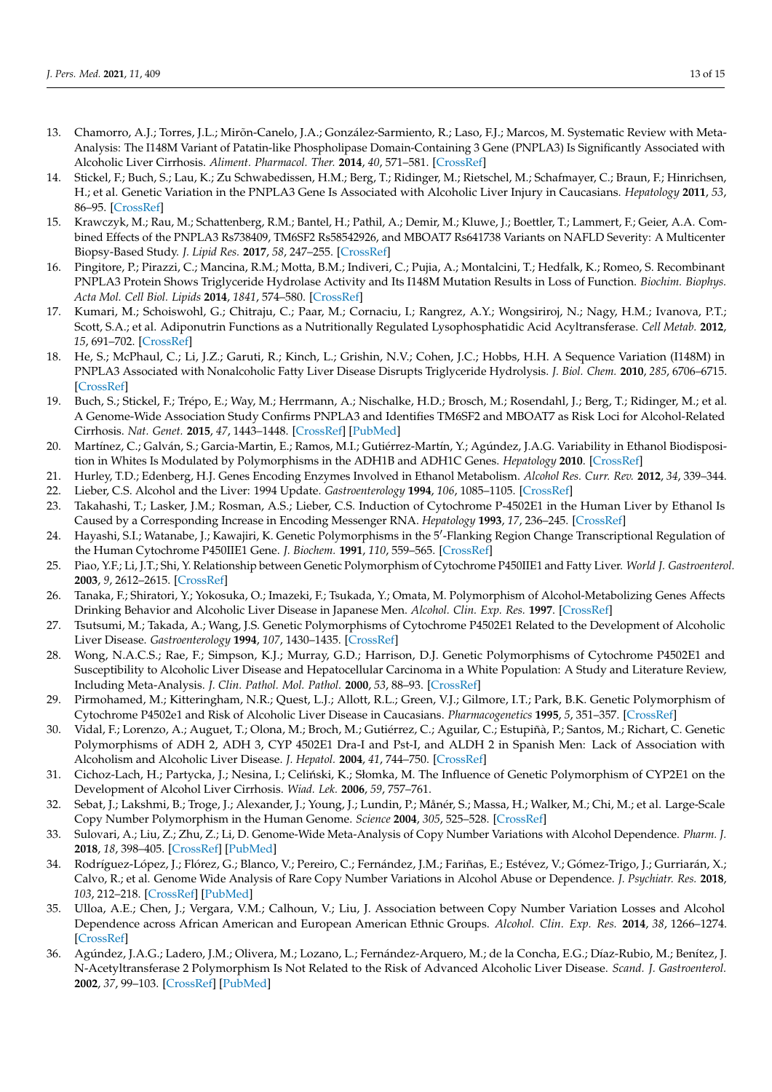- <span id="page-12-0"></span>13. Chamorro, A.J.; Torres, J.L.; Mirõn-Canelo, J.A.; González-Sarmiento, R.; Laso, F.J.; Marcos, M. Systematic Review with Meta-Analysis: The I148M Variant of Patatin-like Phospholipase Domain-Containing 3 Gene (PNPLA3) Is Significantly Associated with Alcoholic Liver Cirrhosis. *Aliment. Pharmacol. Ther.* **2014**, *40*, 571–581. [\[CrossRef\]](http://doi.org/10.1111/apt.12890)
- <span id="page-12-1"></span>14. Stickel, F.; Buch, S.; Lau, K.; Zu Schwabedissen, H.M.; Berg, T.; Ridinger, M.; Rietschel, M.; Schafmayer, C.; Braun, F.; Hinrichsen, H.; et al. Genetic Variation in the PNPLA3 Gene Is Associated with Alcoholic Liver Injury in Caucasians. *Hepatology* **2011**, *53*, 86–95. [\[CrossRef\]](http://doi.org/10.1002/hep.24017)
- <span id="page-12-2"></span>15. Krawczyk, M.; Rau, M.; Schattenberg, R.M.; Bantel, H.; Pathil, A.; Demir, M.; Kluwe, J.; Boettler, T.; Lammert, F.; Geier, A.A. Combined Effects of the PNPLA3 Rs738409, TM6SF2 Rs58542926, and MBOAT7 Rs641738 Variants on NAFLD Severity: A Multicenter Biopsy-Based Study. *J. Lipid Res.* **2017**, *58*, 247–255. [\[CrossRef\]](http://doi.org/10.1194/jlr.P067454)
- <span id="page-12-3"></span>16. Pingitore, P.; Pirazzi, C.; Mancina, R.M.; Motta, B.M.; Indiveri, C.; Pujia, A.; Montalcini, T.; Hedfalk, K.; Romeo, S. Recombinant PNPLA3 Protein Shows Triglyceride Hydrolase Activity and Its I148M Mutation Results in Loss of Function. *Biochim. Biophys. Acta Mol. Cell Biol. Lipids* **2014**, *1841*, 574–580. [\[CrossRef\]](http://doi.org/10.1016/j.bbalip.2013.12.006)
- <span id="page-12-4"></span>17. Kumari, M.; Schoiswohl, G.; Chitraju, C.; Paar, M.; Cornaciu, I.; Rangrez, A.Y.; Wongsiriroj, N.; Nagy, H.M.; Ivanova, P.T.; Scott, S.A.; et al. Adiponutrin Functions as a Nutritionally Regulated Lysophosphatidic Acid Acyltransferase. *Cell Metab.* **2012**, *15*, 691–702. [\[CrossRef\]](http://doi.org/10.1016/j.cmet.2012.04.008)
- <span id="page-12-5"></span>18. He, S.; McPhaul, C.; Li, J.Z.; Garuti, R.; Kinch, L.; Grishin, N.V.; Cohen, J.C.; Hobbs, H.H. A Sequence Variation (I148M) in PNPLA3 Associated with Nonalcoholic Fatty Liver Disease Disrupts Triglyceride Hydrolysis. *J. Biol. Chem.* **2010**, *285*, 6706–6715. [\[CrossRef\]](http://doi.org/10.1074/jbc.M109.064501)
- <span id="page-12-6"></span>19. Buch, S.; Stickel, F.; Trépo, E.; Way, M.; Herrmann, A.; Nischalke, H.D.; Brosch, M.; Rosendahl, J.; Berg, T.; Ridinger, M.; et al. A Genome-Wide Association Study Confirms PNPLA3 and Identifies TM6SF2 and MBOAT7 as Risk Loci for Alcohol-Related Cirrhosis. *Nat. Genet.* **2015**, *47*, 1443–1448. [\[CrossRef\]](http://doi.org/10.1038/ng.3417) [\[PubMed\]](http://www.ncbi.nlm.nih.gov/pubmed/26482880)
- <span id="page-12-7"></span>20. Martínez, C.; Galván, S.; Garcia-Martin, E.; Ramos, M.I.; Gutiérrez-Martín, Y.; Agúndez, J.A.G. Variability in Ethanol Biodisposition in Whites Is Modulated by Polymorphisms in the ADH1B and ADH1C Genes. *Hepatology* **2010**. [\[CrossRef\]](http://doi.org/10.1002/hep.23341)
- <span id="page-12-8"></span>21. Hurley, T.D.; Edenberg, H.J. Genes Encoding Enzymes Involved in Ethanol Metabolism. *Alcohol Res. Curr. Rev.* **2012**, *34*, 339–344.
- <span id="page-12-9"></span>22. Lieber, C.S. Alcohol and the Liver: 1994 Update. *Gastroenterology* **1994**, *106*, 1085–1105. [\[CrossRef\]](http://doi.org/10.1016/0016-5085(94)90772-2)
- <span id="page-12-10"></span>23. Takahashi, T.; Lasker, J.M.; Rosman, A.S.; Lieber, C.S. Induction of Cytochrome P-4502E1 in the Human Liver by Ethanol Is Caused by a Corresponding Increase in Encoding Messenger RNA. *Hepatology* **1993**, *17*, 236–245. [\[CrossRef\]](http://doi.org/10.1002/hep.1840170213)
- <span id="page-12-11"></span>24. Hayashi, S.I.; Watanabe, J.; Kawajiri, K. Genetic Polymorphisms in the 5'-Flanking Region Change Transcriptional Regulation of the Human Cytochrome P450IIE1 Gene. *J. Biochem.* **1991**, *110*, 559–565. [\[CrossRef\]](http://doi.org/10.1093/oxfordjournals.jbchem.a123619)
- <span id="page-12-12"></span>25. Piao, Y.F.; Li, J.T.; Shi, Y. Relationship between Genetic Polymorphism of Cytochrome P450IIE1 and Fatty Liver. *World J. Gastroenterol.* **2003**, *9*, 2612–2615. [\[CrossRef\]](http://doi.org/10.3748/wjg.v9.i11.2612)
- <span id="page-12-22"></span>26. Tanaka, F.; Shiratori, Y.; Yokosuka, O.; Imazeki, F.; Tsukada, Y.; Omata, M. Polymorphism of Alcohol-Metabolizing Genes Affects Drinking Behavior and Alcoholic Liver Disease in Japanese Men. *Alcohol. Clin. Exp. Res.* **1997**. [\[CrossRef\]](http://doi.org/10.1111/j.1530-0277.1997.tb03808.x)
- <span id="page-12-13"></span>27. Tsutsumi, M.; Takada, A.; Wang, J.S. Genetic Polymorphisms of Cytochrome P4502E1 Related to the Development of Alcoholic Liver Disease. *Gastroenterology* **1994**, *107*, 1430–1435. [\[CrossRef\]](http://doi.org/10.1016/0016-5085(94)90546-0)
- <span id="page-12-14"></span>28. Wong, N.A.C.S.; Rae, F.; Simpson, K.J.; Murray, G.D.; Harrison, D.J. Genetic Polymorphisms of Cytochrome P4502E1 and Susceptibility to Alcoholic Liver Disease and Hepatocellular Carcinoma in a White Population: A Study and Literature Review, Including Meta-Analysis. *J. Clin. Pathol. Mol. Pathol.* **2000**, *53*, 88–93. [\[CrossRef\]](http://doi.org/10.1136/mp.53.2.88)
- <span id="page-12-21"></span>29. Pirmohamed, M.; Kitteringham, N.R.; Quest, L.J.; Allott, R.L.; Green, V.J.; Gilmore, I.T.; Park, B.K. Genetic Polymorphism of Cytochrome P4502e1 and Risk of Alcoholic Liver Disease in Caucasians. *Pharmacogenetics* **1995**, *5*, 351–357. [\[CrossRef\]](http://doi.org/10.1097/00008571-199512000-00003)
- <span id="page-12-20"></span>30. Vidal, F.; Lorenzo, A.; Auguet, T.; Olona, M.; Broch, M.; Gutiérrez, C.; Aguilar, C.; Estupiñà, P.; Santos, M.; Richart, C. Genetic Polymorphisms of ADH 2, ADH 3, CYP 4502E1 Dra-I and Pst-I, and ALDH 2 in Spanish Men: Lack of Association with Alcoholism and Alcoholic Liver Disease. *J. Hepatol.* **2004**, *41*, 744–750. [\[CrossRef\]](http://doi.org/10.1016/j.jhep.2003.06.003)
- <span id="page-12-15"></span>31. Cichoz-Lach, H.; Partycka, J.; Nesina, I.; Celiński, K.; Słomka, M. The Influence of Genetic Polymorphism of CYP2E1 on the Development of Alcohol Liver Cirrhosis. *Wiad. Lek.* **2006**, *59*, 757–761.
- <span id="page-12-16"></span>32. Sebat, J.; Lakshmi, B.; Troge, J.; Alexander, J.; Young, J.; Lundin, P.; Månér, S.; Massa, H.; Walker, M.; Chi, M.; et al. Large-Scale Copy Number Polymorphism in the Human Genome. *Science* **2004**, *305*, 525–528. [\[CrossRef\]](http://doi.org/10.1126/science.1098918)
- <span id="page-12-17"></span>33. Sulovari, A.; Liu, Z.; Zhu, Z.; Li, D. Genome-Wide Meta-Analysis of Copy Number Variations with Alcohol Dependence. *Pharm. J.* **2018**, *18*, 398–405. [\[CrossRef\]](http://doi.org/10.1038/tpj.2017.35) [\[PubMed\]](http://www.ncbi.nlm.nih.gov/pubmed/28696413)
- 34. Rodríguez-López, J.; Flórez, G.; Blanco, V.; Pereiro, C.; Fernández, J.M.; Fariñas, E.; Estévez, V.; Gómez-Trigo, J.; Gurriarán, X.; Calvo, R.; et al. Genome Wide Analysis of Rare Copy Number Variations in Alcohol Abuse or Dependence. *J. Psychiatr. Res.* **2018**, *103*, 212–218. [\[CrossRef\]](http://doi.org/10.1016/j.jpsychires.2018.06.001) [\[PubMed\]](http://www.ncbi.nlm.nih.gov/pubmed/29890507)
- <span id="page-12-18"></span>35. Ulloa, A.E.; Chen, J.; Vergara, V.M.; Calhoun, V.; Liu, J. Association between Copy Number Variation Losses and Alcohol Dependence across African American and European American Ethnic Groups. *Alcohol. Clin. Exp. Res.* **2014**, *38*, 1266–1274. [\[CrossRef\]](http://doi.org/10.1111/acer.12364)
- <span id="page-12-19"></span>36. Agúndez, J.A.G.; Ladero, J.M.; Olivera, M.; Lozano, L.; Fernández-Arquero, M.; de la Concha, E.G.; Díaz-Rubio, M.; Benítez, J. N-Acetyltransferase 2 Polymorphism Is Not Related to the Risk of Advanced Alcoholic Liver Disease. *Scand. J. Gastroenterol.* **2002**, *37*, 99–103. [\[CrossRef\]](http://doi.org/10.1080/003655202753387437) [\[PubMed\]](http://www.ncbi.nlm.nih.gov/pubmed/11858170)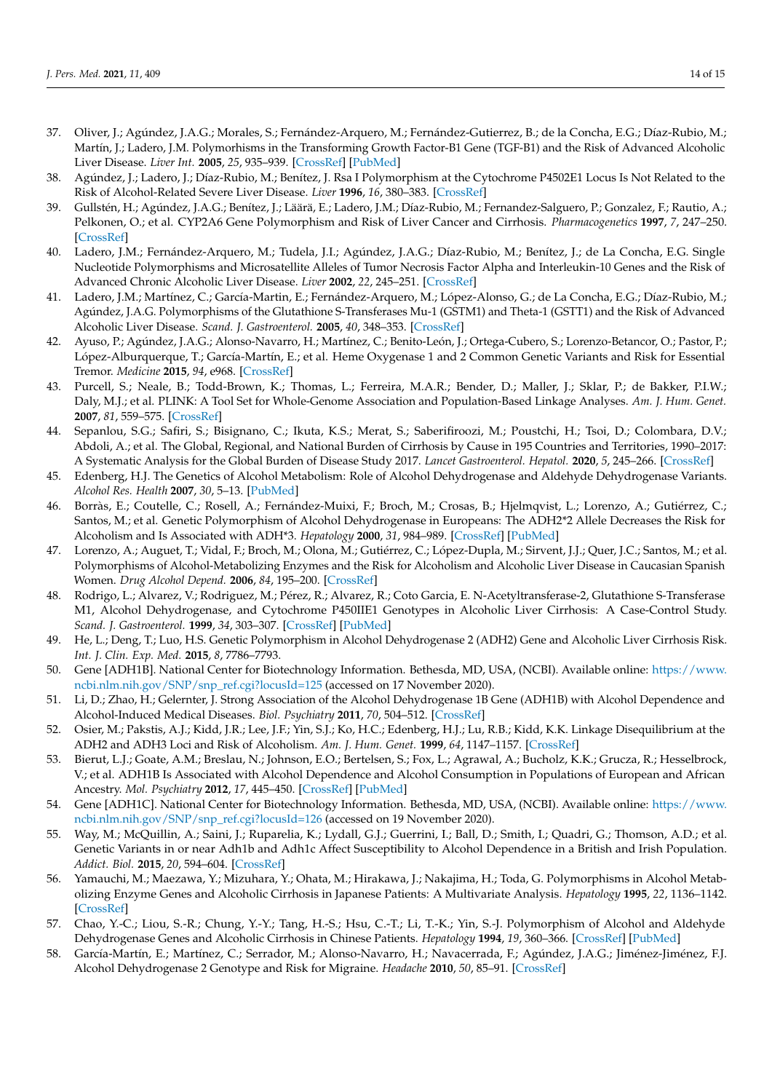- 37. Oliver, J.; Agúndez, J.A.G.; Morales, S.; Fernández-Arquero, M.; Fernández-Gutierrez, B.; de la Concha, E.G.; Díaz-Rubio, M.; Martín, J.; Ladero, J.M. Polymorhisms in the Transforming Growth Factor-B1 Gene (TGF-B1) and the Risk of Advanced Alcoholic Liver Disease. *Liver Int.* **2005**, *25*, 935–939. [\[CrossRef\]](http://doi.org/10.1111/j.1478-3231.2005.01150.x) [\[PubMed\]](http://www.ncbi.nlm.nih.gov/pubmed/16162149)
- <span id="page-13-18"></span>38. Agúndez, J.; Ladero, J.; Díaz-Rubio, M.; Benítez, J. Rsa I Polymorphism at the Cytochrome P4502E1 Locus Is Not Related to the Risk of Alcohol-Related Severe Liver Disease. *Liver* **1996**, *16*, 380–383. [\[CrossRef\]](http://doi.org/10.1111/j.1600-0676.1996.tb00766.x)
- 39. Gullstén, H.; Agúndez, J.A.G.; Benítez, J.; Läärä, E.; Ladero, J.M.; Díaz-Rubio, M.; Fernandez-Salguero, P.; Gonzalez, F.; Rautio, A.; Pelkonen, O.; et al. CYP2A6 Gene Polymorphism and Risk of Liver Cancer and Cirrhosis. *Pharmacogenetics* **1997**, *7*, 247–250. [\[CrossRef\]](http://doi.org/10.1097/00008571-199706000-00010)
- 40. Ladero, J.M.; Fernández-Arquero, M.; Tudela, J.I.; Agúndez, J.A.G.; Díaz-Rubio, M.; Benítez, J.; de La Concha, E.G. Single Nucleotide Polymorphisms and Microsatellite Alleles of Tumor Necrosis Factor Alpha and Interleukin-10 Genes and the Risk of Advanced Chronic Alcoholic Liver Disease. *Liver* **2002**, *22*, 245–251. [\[CrossRef\]](http://doi.org/10.1046/j.0106-9543.2002.01657.x)
- <span id="page-13-0"></span>41. Ladero, J.M.; Martínez, C.; García-Martin, E.; Fernández-Arquero, M.; López-Alonso, G.; de La Concha, E.G.; Díaz-Rubio, M.; Agúndez, J.A.G. Polymorphisms of the Glutathione S-Transferases Mu-1 (GSTM1) and Theta-1 (GSTT1) and the Risk of Advanced Alcoholic Liver Disease. *Scand. J. Gastroenterol.* **2005**, *40*, 348–353. [\[CrossRef\]](http://doi.org/10.1080/00365520510012109)
- <span id="page-13-1"></span>42. Ayuso, P.; Agúndez, J.A.G.; Alonso-Navarro, H.; Martínez, C.; Benito-León, J.; Ortega-Cubero, S.; Lorenzo-Betancor, O.; Pastor, P.; López-Alburquerque, T.; García-Martín, E.; et al. Heme Oxygenase 1 and 2 Common Genetic Variants and Risk for Essential Tremor. *Medicine* **2015**, *94*, e968. [\[CrossRef\]](http://doi.org/10.1097/MD.0000000000000968)
- <span id="page-13-2"></span>43. Purcell, S.; Neale, B.; Todd-Brown, K.; Thomas, L.; Ferreira, M.A.R.; Bender, D.; Maller, J.; Sklar, P.; de Bakker, P.I.W.; Daly, M.J.; et al. PLINK: A Tool Set for Whole-Genome Association and Population-Based Linkage Analyses. *Am. J. Hum. Genet.* **2007**, *81*, 559–575. [\[CrossRef\]](http://doi.org/10.1086/519795)
- <span id="page-13-3"></span>44. Sepanlou, S.G.; Safiri, S.; Bisignano, C.; Ikuta, K.S.; Merat, S.; Saberifiroozi, M.; Poustchi, H.; Tsoi, D.; Colombara, D.V.; Abdoli, A.; et al. The Global, Regional, and National Burden of Cirrhosis by Cause in 195 Countries and Territories, 1990–2017: A Systematic Analysis for the Global Burden of Disease Study 2017. *Lancet Gastroenterol. Hepatol.* **2020**, *5*, 245–266. [\[CrossRef\]](http://doi.org/10.1016/S2468-1253(19)30349-8)
- <span id="page-13-4"></span>45. Edenberg, H.J. The Genetics of Alcohol Metabolism: Role of Alcohol Dehydrogenase and Aldehyde Dehydrogenase Variants. *Alcohol Res. Health* **2007**, *30*, 5–13. [\[PubMed\]](http://www.ncbi.nlm.nih.gov/pubmed/17718394)
- <span id="page-13-5"></span>46. Borràs, E.; Coutelle, C.; Rosell, A.; Fernández-Muixi, F.; Broch, M.; Crosas, B.; Hjelmqvist, L.; Lorenzo, A.; Gutiérrez, C.; Santos, M.; et al. Genetic Polymorphism of Alcohol Dehydrogenase in Europeans: The ADH2\*2 Allele Decreases the Risk for Alcoholism and Is Associated with ADH\*3. *Hepatology* **2000**, *31*, 984–989. [\[CrossRef\]](http://doi.org/10.1053/he.2000.5978) [\[PubMed\]](http://www.ncbi.nlm.nih.gov/pubmed/10733556)
- <span id="page-13-12"></span>47. Lorenzo, A.; Auguet, T.; Vidal, F.; Broch, M.; Olona, M.; Gutiérrez, C.; López-Dupla, M.; Sirvent, J.J.; Quer, J.C.; Santos, M.; et al. Polymorphisms of Alcohol-Metabolizing Enzymes and the Risk for Alcoholism and Alcoholic Liver Disease in Caucasian Spanish Women. *Drug Alcohol Depend.* **2006**, *84*, 195–200. [\[CrossRef\]](http://doi.org/10.1016/j.drugalcdep.2006.03.002)
- <span id="page-13-11"></span>48. Rodrigo, L.; Alvarez, V.; Rodriguez, M.; Pérez, R.; Alvarez, R.; Coto Garcia, E. N-Acetyltransferase-2, Glutathione S-Transferase M1, Alcohol Dehydrogenase, and Cytochrome P450IIE1 Genotypes in Alcoholic Liver Cirrhosis: A Case-Control Study. *Scand. J. Gastroenterol.* **1999**, *34*, 303–307. [\[CrossRef\]](http://doi.org/10.1080/00365529950173735) [\[PubMed\]](http://www.ncbi.nlm.nih.gov/pubmed/10232877)
- <span id="page-13-6"></span>49. He, L.; Deng, T.; Luo, H.S. Genetic Polymorphism in Alcohol Dehydrogenase 2 (ADH2) Gene and Alcoholic Liver Cirrhosis Risk. *Int. J. Clin. Exp. Med.* **2015**, *8*, 7786–7793.
- <span id="page-13-7"></span>50. Gene [ADH1B]. National Center for Biotechnology Information. Bethesda, MD, USA, (NCBI). Available online: [https://www.](https://www.ncbi.nlm.nih.gov/SNP/snp_ref.cgi?locusId=125) [ncbi.nlm.nih.gov/SNP/snp\\_ref.cgi?locusId=125](https://www.ncbi.nlm.nih.gov/SNP/snp_ref.cgi?locusId=125) (accessed on 17 November 2020).
- <span id="page-13-8"></span>51. Li, D.; Zhao, H.; Gelernter, J. Strong Association of the Alcohol Dehydrogenase 1B Gene (ADH1B) with Alcohol Dependence and Alcohol-Induced Medical Diseases. *Biol. Psychiatry* **2011**, *70*, 504–512. [\[CrossRef\]](http://doi.org/10.1016/j.biopsych.2011.02.024)
- <span id="page-13-9"></span>52. Osier, M.; Pakstis, A.J.; Kidd, J.R.; Lee, J.F.; Yin, S.J.; Ko, H.C.; Edenberg, H.J.; Lu, R.B.; Kidd, K.K. Linkage Disequilibrium at the ADH2 and ADH3 Loci and Risk of Alcoholism. *Am. J. Hum. Genet.* **1999**, *64*, 1147–1157. [\[CrossRef\]](http://doi.org/10.1086/302317)
- <span id="page-13-10"></span>53. Bierut, L.J.; Goate, A.M.; Breslau, N.; Johnson, E.O.; Bertelsen, S.; Fox, L.; Agrawal, A.; Bucholz, K.K.; Grucza, R.; Hesselbrock, V.; et al. ADH1B Is Associated with Alcohol Dependence and Alcohol Consumption in Populations of European and African Ancestry. *Mol. Psychiatry* **2012**, *17*, 445–450. [\[CrossRef\]](http://doi.org/10.1038/mp.2011.124) [\[PubMed\]](http://www.ncbi.nlm.nih.gov/pubmed/21968928)
- <span id="page-13-13"></span>54. Gene [ADH1C]. National Center for Biotechnology Information. Bethesda, MD, USA, (NCBI). Available online: [https://www.](https://www.ncbi.nlm.nih.gov/SNP/snp_ref.cgi?locusId=126) [ncbi.nlm.nih.gov/SNP/snp\\_ref.cgi?locusId=126](https://www.ncbi.nlm.nih.gov/SNP/snp_ref.cgi?locusId=126) (accessed on 19 November 2020).
- <span id="page-13-14"></span>55. Way, M.; McQuillin, A.; Saini, J.; Ruparelia, K.; Lydall, G.J.; Guerrini, I.; Ball, D.; Smith, I.; Quadri, G.; Thomson, A.D.; et al. Genetic Variants in or near Adh1b and Adh1c Affect Susceptibility to Alcohol Dependence in a British and Irish Population. *Addict. Biol.* **2015**, *20*, 594–604. [\[CrossRef\]](http://doi.org/10.1111/adb.12141)
- <span id="page-13-15"></span>56. Yamauchi, M.; Maezawa, Y.; Mizuhara, Y.; Ohata, M.; Hirakawa, J.; Nakajima, H.; Toda, G. Polymorphisms in Alcohol Metabolizing Enzyme Genes and Alcoholic Cirrhosis in Japanese Patients: A Multivariate Analysis. *Hepatology* **1995**, *22*, 1136–1142. [\[CrossRef\]](http://doi.org/10.1016/0270-9139(95)90621-5)
- <span id="page-13-16"></span>57. Chao, Y.-C.; Liou, S.-R.; Chung, Y.-Y.; Tang, H.-S.; Hsu, C.-T.; Li, T.-K.; Yin, S.-J. Polymorphism of Alcohol and Aldehyde Dehydrogenase Genes and Alcoholic Cirrhosis in Chinese Patients. *Hepatology* **1994**, *19*, 360–366. [\[CrossRef\]](http://doi.org/10.1002/hep.1840190214) [\[PubMed\]](http://www.ncbi.nlm.nih.gov/pubmed/7904979)
- <span id="page-13-17"></span>58. García-Martín, E.; Martínez, C.; Serrador, M.; Alonso-Navarro, H.; Navacerrada, F.; Agúndez, J.A.G.; Jiménez-Jiménez, F.J. Alcohol Dehydrogenase 2 Genotype and Risk for Migraine. *Headache* **2010**, *50*, 85–91. [\[CrossRef\]](http://doi.org/10.1111/j.1526-4610.2009.01396.x)